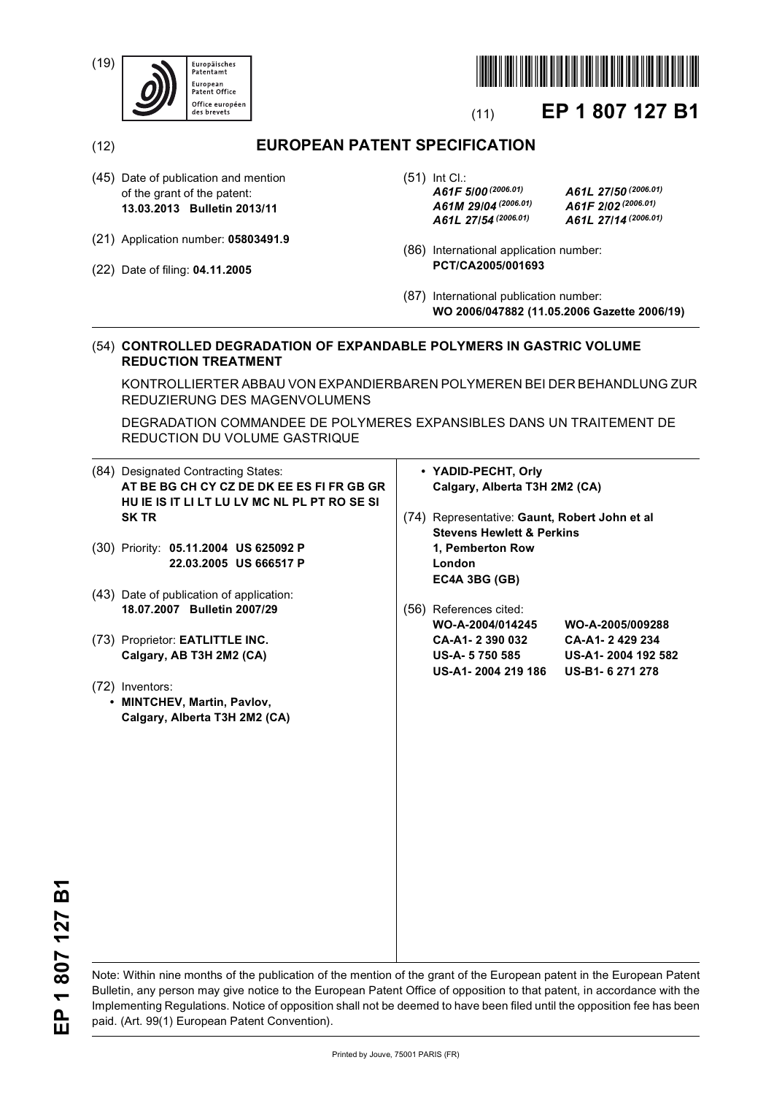(19)





# (11) **EP 1 807 127 B1**

(12) **EUROPEAN PATENT SPECIFICATION**

- (45) Date of publication and mention of the grant of the patent: **13.03.2013 Bulletin 2013/11**
- (21) Application number: **05803491.9**
- (22) Date of filing: **04.11.2005**

(51) Int Cl.: *A61F 5/00 (2006.01) A61L 27/50 (2006.01) A61M 29/04 (2006.01) A61F 2/02 (2006.01) A61L 27/54 (2006.01) A61L 27/14 (2006.01)*

- (86) International application number: **PCT/CA2005/001693**
- (87) International publication number: **WO 2006/047882 (11.05.2006 Gazette 2006/19)**

# (54) **CONTROLLED DEGRADATION OF EXPANDABLE POLYMERS IN GASTRIC VOLUME REDUCTION TREATMENT**

KONTROLLIERTER ABBAU VON EXPANDIERBAREN POLYMEREN BEI DER BEHANDLUNG ZUR REDUZIERUNG DES MAGENVOLUMENS

DEGRADATION COMMANDEE DE POLYMERES EXPANSIBLES DANS UN TRAITEMENT DE REDUCTION DU VOLUME GASTRIQUE

| (84) Designated Contracting States:          | • YADID-PECHT, Orly |                                               |                    |
|----------------------------------------------|---------------------|-----------------------------------------------|--------------------|
| AT BE BG CH CY CZ DE DK EE ES FI FR GB GR    |                     | Calgary, Alberta T3H 2M2 (CA)                 |                    |
| HU IE IS IT LI LT LU LV MC NL PL PT RO SE SI |                     |                                               |                    |
| <b>SK TR</b>                                 |                     | (74) Representative: Gaunt, Robert John et al |                    |
|                                              |                     | <b>Stevens Hewlett &amp; Perkins</b>          |                    |
| (30) Priority: 05.11.2004 US 625092 P        |                     | 1, Pemberton Row                              |                    |
| 22.03.2005 US 666517 P                       |                     | London                                        |                    |
|                                              |                     | EC4A 3BG (GB)                                 |                    |
| (43) Date of publication of application:     |                     |                                               |                    |
| 18.07.2007 Bulletin 2007/29                  |                     | (56) References cited:                        |                    |
|                                              |                     | WO-A-2004/014245                              | WO-A-2005/009288   |
| (73) Proprietor: EATLITTLE INC.              |                     | CA-A1-2390032                                 | CA-A1-2429234      |
| Calgary, AB T3H 2M2 (CA)                     |                     | <b>US-A-5750585</b>                           | US-A1-2004 192 582 |
|                                              |                     | US-A1-2004 219 186                            | US-B1-6271278      |
| (72) Inventors:                              |                     |                                               |                    |
| • MINTCHEV, Martin, Pavlov,                  |                     |                                               |                    |
| Calgary, Alberta T3H 2M2 (CA)                |                     |                                               |                    |
|                                              |                     |                                               |                    |
|                                              |                     |                                               |                    |
|                                              |                     |                                               |                    |
|                                              |                     |                                               |                    |
|                                              |                     |                                               |                    |
|                                              |                     |                                               |                    |
|                                              |                     |                                               |                    |
|                                              |                     |                                               |                    |
|                                              |                     |                                               |                    |
|                                              |                     |                                               |                    |
|                                              |                     |                                               |                    |
|                                              |                     |                                               |                    |
|                                              |                     |                                               |                    |
|                                              |                     |                                               |                    |

EP 1807 127 B1 **EP 1 807 127 B1**

Note: Within nine months of the publication of the mention of the grant of the European patent in the European Patent Bulletin, any person may give notice to the European Patent Office of opposition to that patent, in accordance with the Implementing Regulations. Notice of opposition shall not be deemed to have been filed until the opposition fee has been paid. (Art. 99(1) European Patent Convention).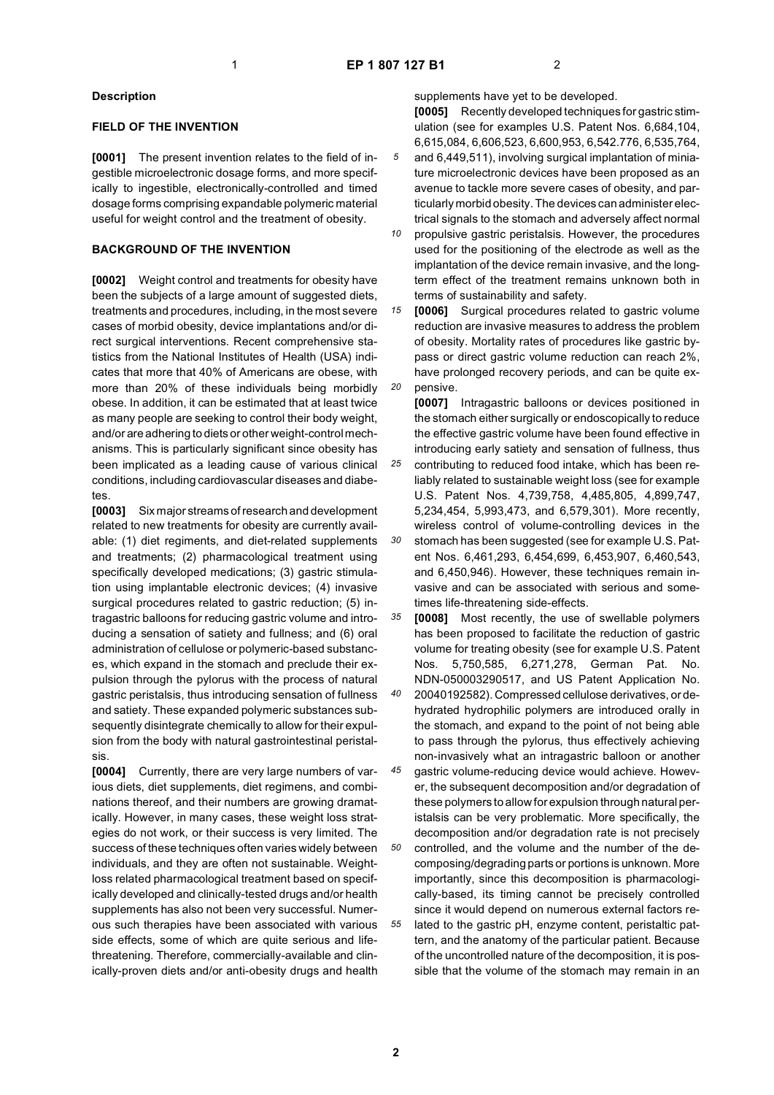#### **Description**

#### **FIELD OF THE INVENTION**

**[0001]** The present invention relates to the field of ingestible microelectronic dosage forms, and more specifically to ingestible, electronically-controlled and timed dosage forms comprising expandable polymeric material useful for weight control and the treatment of obesity.

## **BACKGROUND OF THE INVENTION**

**[0002]** Weight control and treatments for obesity have been the subjects of a large amount of suggested diets, treatments and procedures, including, in the most severe cases of morbid obesity, device implantations and/or direct surgical interventions. Recent comprehensive statistics from the National Institutes of Health (USA) indicates that more that 40% of Americans are obese, with more than 20% of these individuals being morbidly obese. In addition, it can be estimated that at least twice as many people are seeking to control their body weight, and/or are adhering to diets or other weight-control mechanisms. This is particularly significant since obesity has been implicated as a leading cause of various clinical conditions, including cardiovascular diseases and diabetes.

**[0003]** Six major streams of research and development related to new treatments for obesity are currently available: (1) diet regiments, and diet-related supplements and treatments; (2) pharmacological treatment using specifically developed medications; (3) gastric stimulation using implantable electronic devices; (4) invasive surgical procedures related to gastric reduction; (5) intragastric balloons for reducing gastric volume and introducing a sensation of satiety and fullness; and (6) oral administration of cellulose or polymeric-based substances, which expand in the stomach and preclude their expulsion through the pylorus with the process of natural gastric peristalsis, thus introducing sensation of fullness and satiety. These expanded polymeric substances subsequently disintegrate chemically to allow for their expulsion from the body with natural gastrointestinal peristalsis.

**[0004]** Currently, there are very large numbers of various diets, diet supplements, diet regimens, and combinations thereof, and their numbers are growing dramatically. However, in many cases, these weight loss strategies do not work, or their success is very limited. The success of these techniques often varies widely between individuals, and they are often not sustainable. Weightloss related pharmacological treatment based on specifically developed and clinically-tested drugs and/or health supplements has also not been very successful. Numerous such therapies have been associated with various side effects, some of which are quite serious and lifethreatening. Therefore, commercially-available and clinically-proven diets and/or anti-obesity drugs and health

supplements have yet to be developed. **[0005]** Recently developed techniques for gastric stimulation (see for examples U.S. Patent Nos. 6,684,104, 6,615,084, 6,606,523, 6,600,953, 6,542.776, 6,535,764,

- *5* and 6,449,511), involving surgical implantation of miniature microelectronic devices have been proposed as an avenue to tackle more severe cases of obesity, and particularly morbid obesity. The devices can administer electrical signals to the stomach and adversely affect normal
- *10* propulsive gastric peristalsis. However, the procedures used for the positioning of the electrode as well as the implantation of the device remain invasive, and the longterm effect of the treatment remains unknown both in terms of sustainability and safety.

*15 20* **[0006]** Surgical procedures related to gastric volume reduction are invasive measures to address the problem of obesity. Mortality rates of procedures like gastric bypass or direct gastric volume reduction can reach 2%, have prolonged recovery periods, and can be quite expensive.

*25 30* **[0007]** Intragastric balloons or devices positioned in the stomach either surgically or endoscopically to reduce the effective gastric volume have been found effective in introducing early satiety and sensation of fullness, thus contributing to reduced food intake, which has been reliably related to sustainable weight loss (see for example U.S. Patent Nos. 4,739,758, 4,485,805, 4,899,747, 5,234,454, 5,993,473, and 6,579,301). More recently, wireless control of volume-controlling devices in the stomach has been suggested (see for example U.S. Patent Nos. 6,461,293, 6,454,699, 6,453,907, 6,460,543, and 6,450,946). However, these techniques remain invasive and can be associated with serious and sometimes life-threatening side-effects.

*35* **[0008]** Most recently, the use of swellable polymers has been proposed to facilitate the reduction of gastric volume for treating obesity (see for example U.S. Patent Nos. 5,750,585, 6,271,278, German Pat. No. NDN-050003290517, and US Patent Application No.

*40* 20040192582). Compressed cellulose derivatives, or dehydrated hydrophilic polymers are introduced orally in the stomach, and expand to the point of not being able to pass through the pylorus, thus effectively achieving non-invasively what an intragastric balloon or another

*45 50 55* gastric volume-reducing device would achieve. However, the subsequent decomposition and/or degradation of these polymers to allow for expulsion through natural peristalsis can be very problematic. More specifically, the decomposition and/or degradation rate is not precisely controlled, and the volume and the number of the decomposing/degrading parts or portions is unknown. More importantly, since this decomposition is pharmacologically-based, its timing cannot be precisely controlled since it would depend on numerous external factors related to the gastric pH, enzyme content, peristaltic pattern, and the anatomy of the particular patient. Because of the uncontrolled nature of the decomposition, it is possible that the volume of the stomach may remain in an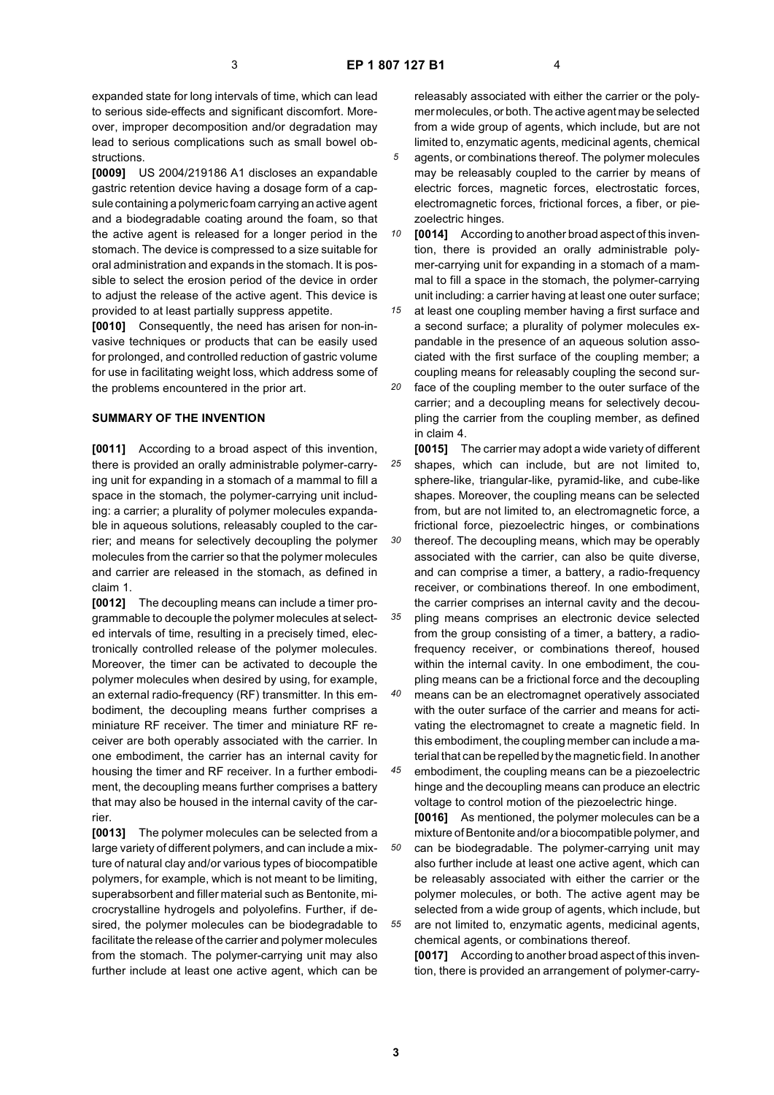expanded state for long intervals of time, which can lead to serious side-effects and significant discomfort. Moreover, improper decomposition and/or degradation may lead to serious complications such as small bowel obstructions.

**[0009]** US 2004/219186 A1 discloses an expandable gastric retention device having a dosage form of a capsule containing a polymeric foam carrying an active agent and a biodegradable coating around the foam, so that the active agent is released for a longer period in the stomach. The device is compressed to a size suitable for oral administration and expands in the stomach. It is possible to select the erosion period of the device in order to adjust the release of the active agent. This device is provided to at least partially suppress appetite.

**[0010]** Consequently, the need has arisen for non-invasive techniques or products that can be easily used for prolonged, and controlled reduction of gastric volume for use in facilitating weight loss, which address some of the problems encountered in the prior art.

#### **SUMMARY OF THE INVENTION**

**[0011]** According to a broad aspect of this invention, there is provided an orally administrable polymer-carrying unit for expanding in a stomach of a mammal to fill a space in the stomach, the polymer-carrying unit including: a carrier; a plurality of polymer molecules expandable in aqueous solutions, releasably coupled to the carrier; and means for selectively decoupling the polymer molecules from the carrier so that the polymer molecules and carrier are released in the stomach, as defined in claim 1.

**[0012]** The decoupling means can include a timer programmable to decouple the polymer molecules at selected intervals of time, resulting in a precisely timed, electronically controlled release of the polymer molecules. Moreover, the timer can be activated to decouple the polymer molecules when desired by using, for example, an external radio-frequency (RF) transmitter. In this embodiment, the decoupling means further comprises a miniature RF receiver. The timer and miniature RF receiver are both operably associated with the carrier. In one embodiment, the carrier has an internal cavity for housing the timer and RF receiver. In a further embodiment, the decoupling means further comprises a battery that may also be housed in the internal cavity of the carrier.

**[0013]** The polymer molecules can be selected from a large variety of different polymers, and can include a mixture of natural clay and/or various types of biocompatible polymers, for example, which is not meant to be limiting, superabsorbent and filler material such as Bentonite, microcrystalline hydrogels and polyolefins. Further, if desired, the polymer molecules can be biodegradable to facilitate the release of the carrier and polymer molecules from the stomach. The polymer-carrying unit may also further include at least one active agent, which can be

releasably associated with either the carrier or the polymer molecules, or both. The active agent may be selected from a wide group of agents, which include, but are not limited to, enzymatic agents, medicinal agents, chemical

*5* agents, or combinations thereof. The polymer molecules may be releasably coupled to the carrier by means of electric forces, magnetic forces, electrostatic forces, electromagnetic forces, frictional forces, a fiber, or piezoelectric hinges.

*10* **[0014]** According to another broad aspect of this invention, there is provided an orally administrable polymer-carrying unit for expanding in a stomach of a mammal to fill a space in the stomach, the polymer-carrying unit including: a carrier having at least one outer surface;

*15 20* at least one coupling member having a first surface and a second surface; a plurality of polymer molecules expandable in the presence of an aqueous solution associated with the first surface of the coupling member; a coupling means for releasably coupling the second surface of the coupling member to the outer surface of the

carrier; and a decoupling means for selectively decoupling the carrier from the coupling member, as defined in claim 4.

*25* **[0015]** The carrier may adopt a wide variety of different shapes, which can include, but are not limited to, sphere-like, triangular-like, pyramid-like, and cube-like shapes. Moreover, the coupling means can be selected from, but are not limited to, an electromagnetic force, a frictional force, piezoelectric hinges, or combinations

*30* thereof. The decoupling means, which may be operably associated with the carrier, can also be quite diverse, and can comprise a timer, a battery, a radio-frequency receiver, or combinations thereof. In one embodiment, the carrier comprises an internal cavity and the decou-

*35 40* pling means comprises an electronic device selected from the group consisting of a timer, a battery, a radiofrequency receiver, or combinations thereof, housed within the internal cavity. In one embodiment, the coupling means can be a frictional force and the decoupling means can be an electromagnet operatively associated with the outer surface of the carrier and means for activating the electromagnet to create a magnetic field. In this embodiment, the coupling member can include a ma-

*45* terial that can be repelled by the magnetic field. In another embodiment, the coupling means can be a piezoelectric hinge and the decoupling means can produce an electric voltage to control motion of the piezoelectric hinge.

*50 55* **[0016]** As mentioned, the polymer molecules can be a mixture of Bentonite and/or a biocompatible polymer, and can be biodegradable. The polymer-carrying unit may also further include at least one active agent, which can be releasably associated with either the carrier or the polymer molecules, or both. The active agent may be selected from a wide group of agents, which include, but are not limited to, enzymatic agents, medicinal agents, chemical agents, or combinations thereof.

**[0017]** According to another broad aspect of this invention, there is provided an arrangement of polymer-carry-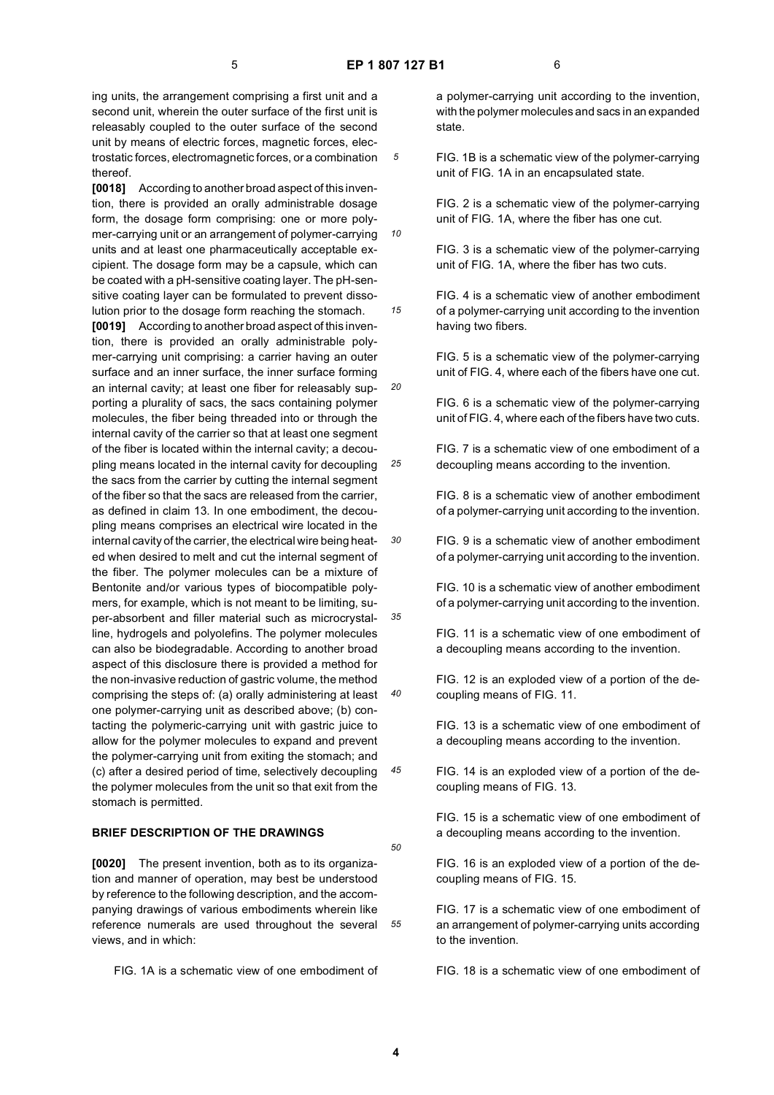*10*

*15*

ing units, the arrangement comprising a first unit and a second unit, wherein the outer surface of the first unit is releasably coupled to the outer surface of the second unit by means of electric forces, magnetic forces, electrostatic forces, electromagnetic forces, or a combination thereof.

**[0018]** According to another broad aspect of this invention, there is provided an orally administrable dosage form, the dosage form comprising: one or more polymer-carrying unit or an arrangement of polymer-carrying units and at least one pharmaceutically acceptable excipient. The dosage form may be a capsule, which can be coated with a pH-sensitive coating layer. The pH-sensitive coating layer can be formulated to prevent dissolution prior to the dosage form reaching the stomach.

*20 25 30 35 40 45* **[0019]** According to another broad aspect of this invention, there is provided an orally administrable polymer-carrying unit comprising: a carrier having an outer surface and an inner surface, the inner surface forming an internal cavity; at least one fiber for releasably supporting a plurality of sacs, the sacs containing polymer molecules, the fiber being threaded into or through the internal cavity of the carrier so that at least one segment of the fiber is located within the internal cavity; a decoupling means located in the internal cavity for decoupling the sacs from the carrier by cutting the internal segment of the fiber so that the sacs are released from the carrier, as defined in claim 13. In one embodiment, the decoupling means comprises an electrical wire located in the internal cavity of the carrier, the electrical wire being heated when desired to melt and cut the internal segment of the fiber. The polymer molecules can be a mixture of Bentonite and/or various types of biocompatible polymers, for example, which is not meant to be limiting, super-absorbent and filler material such as microcrystalline, hydrogels and polyolefins. The polymer molecules can also be biodegradable. According to another broad aspect of this disclosure there is provided a method for the non-invasive reduction of gastric volume, the method comprising the steps of: (a) orally administering at least one polymer-carrying unit as described above; (b) contacting the polymeric-carrying unit with gastric juice to allow for the polymer molecules to expand and prevent the polymer-carrying unit from exiting the stomach; and (c) after a desired period of time, selectively decoupling the polymer molecules from the unit so that exit from the stomach is permitted.

## **BRIEF DESCRIPTION OF THE DRAWINGS**

**[0020]** The present invention, both as to its organization and manner of operation, may best be understood by reference to the following description, and the accompanying drawings of various embodiments wherein like reference numerals are used throughout the several views, and in which:

FIG. 1A is a schematic view of one embodiment of

a polymer-carrying unit according to the invention, with the polymer molecules and sacs in an expanded state.

FIG. 1B is a schematic view of the polymer-carrying unit of FIG. 1A in an encapsulated state.

FIG. 2 is a schematic view of the polymer-carrying unit of FIG. 1A, where the fiber has one cut.

FIG. 3 is a schematic view of the polymer-carrying unit of FIG. 1A, where the fiber has two cuts.

FIG. 4 is a schematic view of another embodiment of a polymer-carrying unit according to the invention having two fibers.

FIG. 5 is a schematic view of the polymer-carrying unit of FIG. 4, where each of the fibers have one cut.

FIG. 6 is a schematic view of the polymer-carrying unit of FIG. 4, where each of the fibers have two cuts.

FIG. 7 is a schematic view of one embodiment of a decoupling means according to the invention.

FIG. 8 is a schematic view of another embodiment of a polymer-carrying unit according to the invention.

FIG. 9 is a schematic view of another embodiment of a polymer-carrying unit according to the invention.

FIG. 10 is a schematic view of another embodiment of a polymer-carrying unit according to the invention.

FIG. 11 is a schematic view of one embodiment of a decoupling means according to the invention.

FIG. 12 is an exploded view of a portion of the decoupling means of FIG. 11.

FIG. 13 is a schematic view of one embodiment of a decoupling means according to the invention.

FIG. 14 is an exploded view of a portion of the decoupling means of FIG. 13.

FIG. 15 is a schematic view of one embodiment of a decoupling means according to the invention.

FIG. 16 is an exploded view of a portion of the decoupling means of FIG. 15.

FIG. 17 is a schematic view of one embodiment of an arrangement of polymer-carrying units according to the invention.

FIG. 18 is a schematic view of one embodiment of

*50*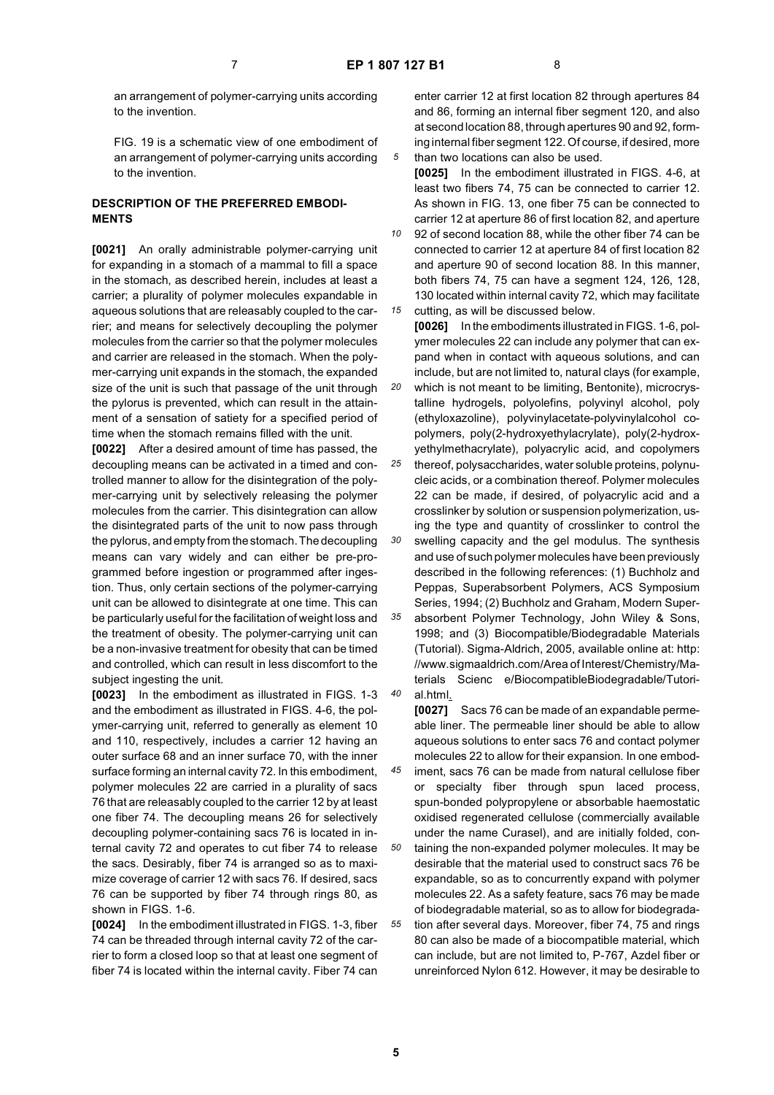*30*

*45*

*50*

an arrangement of polymer-carrying units according to the invention.

FIG. 19 is a schematic view of one embodiment of an arrangement of polymer-carrying units according to the invention.

## **DESCRIPTION OF THE PREFERRED EMBODI-MENTS**

**[0021]** An orally administrable polymer-carrying unit for expanding in a stomach of a mammal to fill a space in the stomach, as described herein, includes at least a carrier; a plurality of polymer molecules expandable in aqueous solutions that are releasably coupled to the carrier; and means for selectively decoupling the polymer molecules from the carrier so that the polymer molecules and carrier are released in the stomach. When the polymer-carrying unit expands in the stomach, the expanded size of the unit is such that passage of the unit through the pylorus is prevented, which can result in the attainment of a sensation of satiety for a specified period of time when the stomach remains filled with the unit.

**[0022]** After a desired amount of time has passed, the decoupling means can be activated in a timed and controlled manner to allow for the disintegration of the polymer-carrying unit by selectively releasing the polymer molecules from the carrier. This disintegration can allow the disintegrated parts of the unit to now pass through the pylorus, and empty from the stomach. The decoupling means can vary widely and can either be pre-programmed before ingestion or programmed after ingestion. Thus, only certain sections of the polymer-carrying unit can be allowed to disintegrate at one time. This can be particularly useful for the facilitation of weight loss and the treatment of obesity. The polymer-carrying unit can be a non-invasive treatment for obesity that can be timed and controlled, which can result in less discomfort to the subject ingesting the unit.

**[0023]** In the embodiment as illustrated in FIGS. 1-3 and the embodiment as illustrated in FIGS. 4-6, the polymer-carrying unit, referred to generally as element 10 and 110, respectively, includes a carrier 12 having an outer surface 68 and an inner surface 70, with the inner surface forming an internal cavity 72. In this embodiment, polymer molecules 22 are carried in a plurality of sacs 76 that are releasably coupled to the carrier 12 by at least one fiber 74. The decoupling means 26 for selectively decoupling polymer-containing sacs 76 is located in internal cavity 72 and operates to cut fiber 74 to release the sacs. Desirably, fiber 74 is arranged so as to maximize coverage of carrier 12 with sacs 76. If desired, sacs 76 can be supported by fiber 74 through rings 80, as shown in FIGS. 1-6.

**[0024]** In the embodiment illustrated in FIGS. 1-3, fiber 74 can be threaded through internal cavity 72 of the carrier to form a closed loop so that at least one segment of fiber 74 is located within the internal cavity. Fiber 74 can

enter carrier 12 at first location 82 through apertures 84 and 86, forming an internal fiber segment 120, and also at second location 88, through apertures 90 and 92, forming internal fiber segment 122. Of course, if desired, more than two locations can also be used.

**[0025]** In the embodiment illustrated in FIGS. 4-6, at least two fibers 74, 75 can be connected to carrier 12. As shown in FIG. 13, one fiber 75 can be connected to carrier 12 at aperture 86 of first location 82, and aperture

*10 15* 92 of second location 88, while the other fiber 74 can be connected to carrier 12 at aperture 84 of first location 82 and aperture 90 of second location 88. In this manner, both fibers 74, 75 can have a segment 124, 126, 128, 130 located within internal cavity 72, which may facilitate cutting, as will be discussed below.

**[0026]** In the embodiments illustrated in FIGS. 1-6, polymer molecules 22 can include any polymer that can expand when in contact with aqueous solutions, and can include, but are not limited to, natural clays (for example,

*20 25* which is not meant to be limiting, Bentonite), microcrystalline hydrogels, polyolefins, polyvinyl alcohol, poly (ethyloxazoline), polyvinylacetate-polyvinylalcohol copolymers, poly(2-hydroxyethylacrylate), poly(2-hydroxyethylmethacrylate), polyacrylic acid, and copolymers thereof, polysaccharides, water soluble proteins, polynu-

cleic acids, or a combination thereof. Polymer molecules 22 can be made, if desired, of polyacrylic acid and a crosslinker by solution or suspension polymerization, using the type and quantity of crosslinker to control the

swelling capacity and the gel modulus. The synthesis and use of such polymer molecules have been previously described in the following references: (1) Buchholz and Peppas, Superabsorbent Polymers, ACS Symposium Series, 1994; (2) Buchholz and Graham, Modern Super-

*35 40* absorbent Polymer Technology, John Wiley & Sons, 1998; and (3) Biocompatible/Biodegradable Materials (Tutorial). Sigma-Aldrich, 2005, available online at: http: //www.sigmaaldrich.com/Area of Interest/Chemistry/Materials Scienc e/BiocompatibleBiodegradable/Tutorial.html.

**[0027]** Sacs 76 can be made of an expandable permeable liner. The permeable liner should be able to allow aqueous solutions to enter sacs 76 and contact polymer molecules 22 to allow for their expansion. In one embodiment, sacs 76 can be made from natural cellulose fiber

or specialty fiber through spun laced process, spun-bonded polypropylene or absorbable haemostatic oxidised regenerated cellulose (commercially available under the name Curasel), and are initially folded, containing the non-expanded polymer molecules. It may be

*55* desirable that the material used to construct sacs 76 be expandable, so as to concurrently expand with polymer molecules 22. As a safety feature, sacs 76 may be made of biodegradable material, so as to allow for biodegradation after several days. Moreover, fiber 74, 75 and rings 80 can also be made of a biocompatible material, which can include, but are not limited to, P-767, Azdel fiber or unreinforced Nylon 612. However, it may be desirable to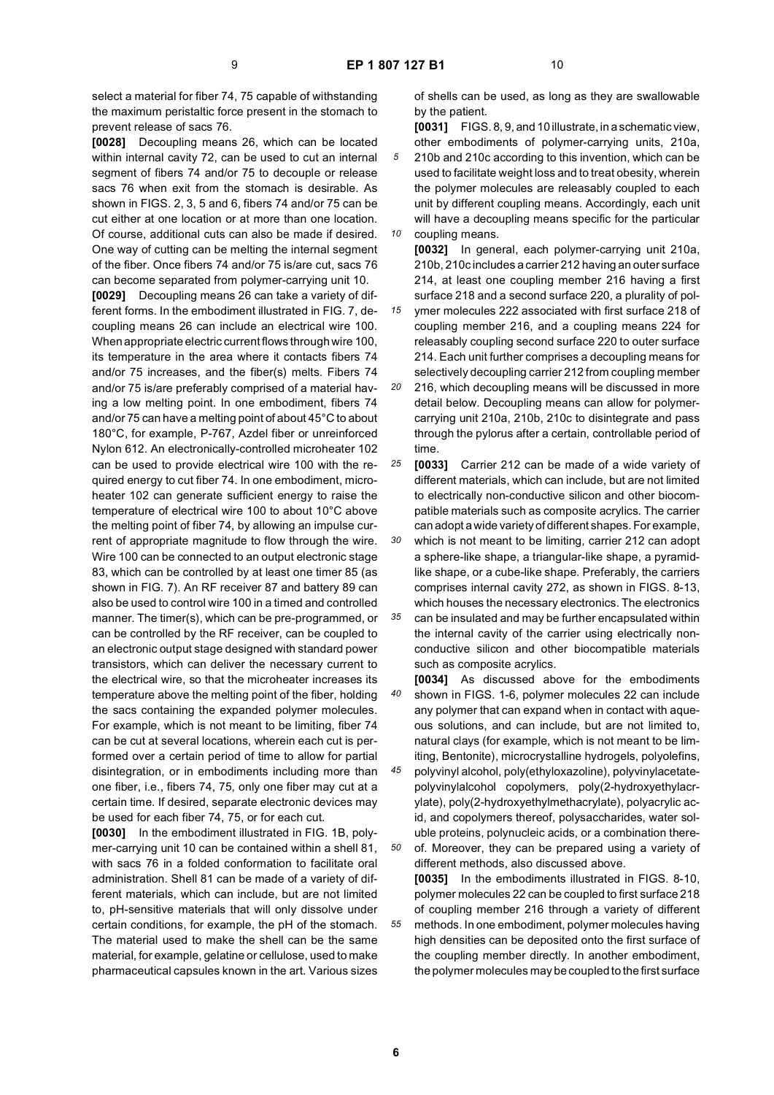select a material for fiber 74, 75 capable of withstanding the maximum peristaltic force present in the stomach to prevent release of sacs 76.

**[0028]** Decoupling means 26, which can be located within internal cavity 72, can be used to cut an internal segment of fibers 74 and/or 75 to decouple or release sacs 76 when exit from the stomach is desirable. As shown in FIGS. 2, 3, 5 and 6, fibers 74 and/or 75 can be cut either at one location or at more than one location. Of course, additional cuts can also be made if desired. One way of cutting can be melting the internal segment of the fiber. Once fibers 74 and/or 75 is/are cut, sacs 76 can become separated from polymer-carrying unit 10.

**[0029]** Decoupling means 26 can take a variety of different forms. In the embodiment illustrated in FIG. 7, decoupling means 26 can include an electrical wire 100. When appropriate electric current flows through wire 100, its temperature in the area where it contacts fibers 74 and/or 75 increases, and the fiber(s) melts. Fibers 74 and/or 75 is/are preferably comprised of a material having a low melting point. In one embodiment, fibers 74 and/or 75 can have a melting point of about 45°C to about 180°C, for example, P-767, Azdel fiber or unreinforced Nylon 612. An electronically-controlled microheater 102 can be used to provide electrical wire 100 with the required energy to cut fiber 74. In one embodiment, microheater 102 can generate sufficient energy to raise the temperature of electrical wire 100 to about 10°C above the melting point of fiber 74, by allowing an impulse current of appropriate magnitude to flow through the wire. Wire 100 can be connected to an output electronic stage 83, which can be controlled by at least one timer 85 (as shown in FIG. 7). An RF receiver 87 and battery 89 can also be used to control wire 100 in a timed and controlled manner. The timer(s), which can be pre-programmed, or can be controlled by the RF receiver, can be coupled to an electronic output stage designed with standard power transistors, which can deliver the necessary current to the electrical wire, so that the microheater increases its temperature above the melting point of the fiber, holding the sacs containing the expanded polymer molecules. For example, which is not meant to be limiting, fiber 74 can be cut at several locations, wherein each cut is performed over a certain period of time to allow for partial disintegration, or in embodiments including more than one fiber, i.e., fibers 74, 75, only one fiber may cut at a certain time. If desired, separate electronic devices may be used for each fiber 74, 75, or for each cut.

**[0030]** In the embodiment illustrated in FIG. 1B, polymer-carrying unit 10 can be contained within a shell 81, with sacs 76 in a folded conformation to facilitate oral administration. Shell 81 can be made of a variety of different materials, which can include, but are not limited to, pH-sensitive materials that will only dissolve under certain conditions, for example, the pH of the stomach. The material used to make the shell can be the same material, for example, gelatine or cellulose, used to make pharmaceutical capsules known in the art. Various sizes

of shells can be used, as long as they are swallowable by the patient.

*5 10* **[0031]** FIGS. 8, 9, and 10 illustrate, in a schematic view, other embodiments of polymer-carrying units, 210a, 210b and 210c according to this invention, which can be used to facilitate weight loss and to treat obesity, wherein the polymer molecules are releasably coupled to each unit by different coupling means. Accordingly, each unit will have a decoupling means specific for the particular coupling means.

*15* **[0032]** In general, each polymer-carrying unit 210a, 210b, 210c includes a carrier 212 having an outer surface 214, at least one coupling member 216 having a first surface 218 and a second surface 220, a plurality of polymer molecules 222 associated with first surface 218 of coupling member 216, and a coupling means 224 for releasably coupling second surface 220 to outer surface 214. Each unit further comprises a decoupling means for selectively decoupling carrier 212 from coupling member

- *20* 216, which decoupling means will be discussed in more detail below. Decoupling means can allow for polymercarrying unit 210a, 210b, 210c to disintegrate and pass through the pylorus after a certain, controllable period of time.
- *25* **[0033]** Carrier 212 can be made of a wide variety of different materials, which can include, but are not limited to electrically non-conductive silicon and other biocompatible materials such as composite acrylics. The carrier can adopt a wide variety of different shapes. For example,

*30 35* which is not meant to be limiting, carrier 212 can adopt a sphere-like shape, a triangular-like shape, a pyramidlike shape, or a cube-like shape. Preferably, the carriers comprises internal cavity 272, as shown in FIGS. 8-13, which houses the necessary electronics. The electronics

can be insulated and may be further encapsulated within the internal cavity of the carrier using electrically nonconductive silicon and other biocompatible materials such as composite acrylics.

*40* **[0034]** As discussed above for the embodiments shown in FIGS. 1-6, polymer molecules 22 can include any polymer that can expand when in contact with aqueous solutions, and can include, but are not limited to, natural clays (for example, which is not meant to be limiting, Bentonite), microcrystalline hydrogels, polyolefins,

*45 50* polyvinyl alcohol, poly(ethyloxazoline), polyvinylacetatepolyvinylalcohol copolymers, poly(2-hydroxyethylacrylate), poly(2-hydroxyethylmethacrylate), polyacrylic acid, and copolymers thereof, polysaccharides, water soluble proteins, polynucleic acids, or a combination there-

*55* of. Moreover, they can be prepared using a variety of different methods, also discussed above. **[0035]** In the embodiments illustrated in FIGS. 8-10, polymer molecules 22 can be coupled to first surface 218 of coupling member 216 through a variety of different methods. In one embodiment, polymer molecules having high densities can be deposited onto the first surface of the coupling member directly. In another embodiment, the polymer molecules may be coupled to the first surface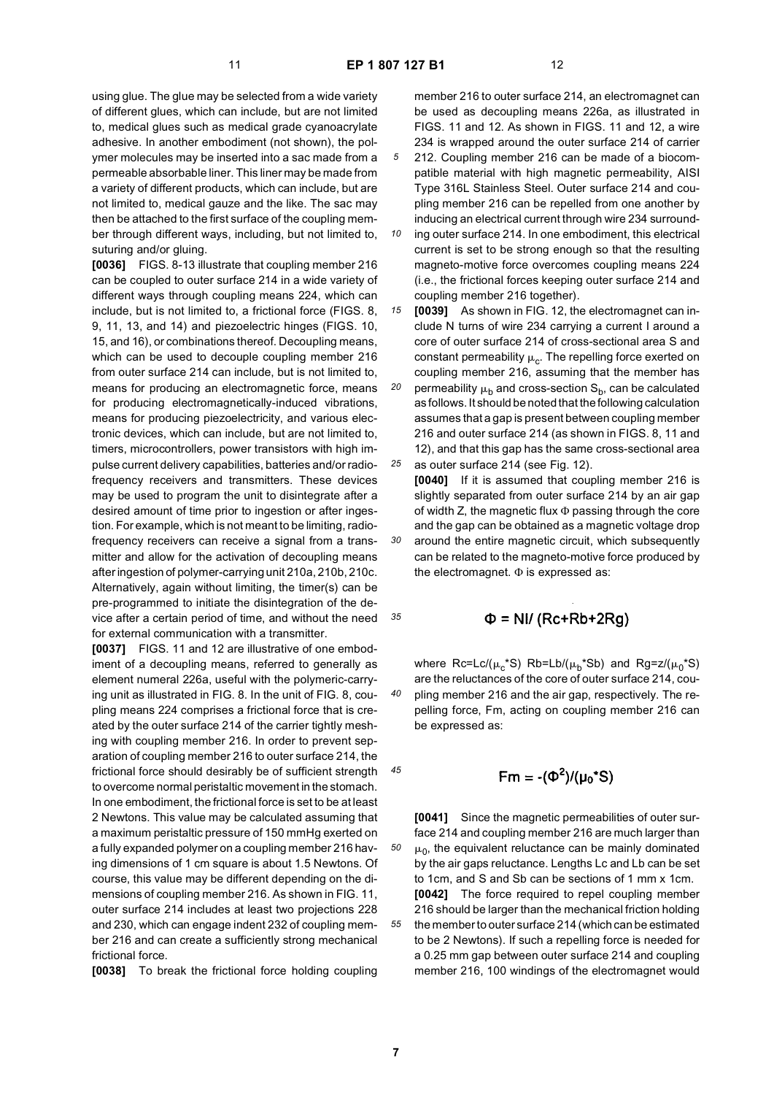*10*

*35*

*40*

*45*

*50*

*55*

using glue. The glue may be selected from a wide variety of different glues, which can include, but are not limited to, medical glues such as medical grade cyanoacrylate adhesive. In another embodiment (not shown), the polymer molecules may be inserted into a sac made from a permeable absorbable liner. This liner may be made from a variety of different products, which can include, but are not limited to, medical gauze and the like. The sac may then be attached to the first surface of the coupling member through different ways, including, but not limited to, suturing and/or gluing.

**[0036]** FIGS. 8-13 illustrate that coupling member 216 can be coupled to outer surface 214 in a wide variety of different ways through coupling means 224, which can include, but is not limited to, a frictional force (FIGS. 8, 9, 11, 13, and 14) and piezoelectric hinges (FIGS. 10, 15, and 16), or combinations thereof. Decoupling means, which can be used to decouple coupling member 216 from outer surface 214 can include, but is not limited to, means for producing an electromagnetic force, means for producing electromagnetically-induced vibrations, means for producing piezoelectricity, and various electronic devices, which can include, but are not limited to, timers, microcontrollers, power transistors with high impulse current delivery capabilities, batteries and/or radiofrequency receivers and transmitters. These devices may be used to program the unit to disintegrate after a desired amount of time prior to ingestion or after ingestion. For example, which is not meant to be limiting, radiofrequency receivers can receive a signal from a transmitter and allow for the activation of decoupling means after ingestion of polymer-carrying unit 210a, 210b, 210c. Alternatively, again without limiting, the timer(s) can be pre-programmed to initiate the disintegration of the device after a certain period of time, and without the need for external communication with a transmitter.

**[0037]** FIGS. 11 and 12 are illustrative of one embodiment of a decoupling means, referred to generally as element numeral 226a, useful with the polymeric-carrying unit as illustrated in FIG. 8. In the unit of FIG. 8, coupling means 224 comprises a frictional force that is created by the outer surface 214 of the carrier tightly meshing with coupling member 216. In order to prevent separation of coupling member 216 to outer surface 214, the frictional force should desirably be of sufficient strength to overcome normal peristaltic movement in the stomach. In one embodiment, the frictional force is set to be at least 2 Newtons. This value may be calculated assuming that a maximum peristaltic pressure of 150 mmHg exerted on a fully expanded polymer on a coupling member 216 having dimensions of 1 cm square is about 1.5 Newtons. Of course, this value may be different depending on the dimensions of coupling member 216. As shown in FIG. 11, outer surface 214 includes at least two projections 228 and 230, which can engage indent 232 of coupling member 216 and can create a sufficiently strong mechanical frictional force.

**[0038]** To break the frictional force holding coupling

member 216 to outer surface 214, an electromagnet can be used as decoupling means 226a, as illustrated in FIGS. 11 and 12. As shown in FIGS. 11 and 12, a wire 234 is wrapped around the outer surface 214 of carrier 212. Coupling member 216 can be made of a biocompatible material with high magnetic permeability, AISI Type 316L Stainless Steel. Outer surface 214 and cou-

pling member 216 can be repelled from one another by inducing an electrical current through wire 234 surrounding outer surface 214. In one embodiment, this electrical current is set to be strong enough so that the resulting

magneto-motive force overcomes coupling means 224 (i.e., the frictional forces keeping outer surface 214 and coupling member 216 together).

*15 20 25* **[0039]** As shown in FIG. 12, the electromagnet can include N turns of wire 234 carrying a current I around a core of outer surface 214 of cross-sectional area S and constant permeability  $\mu_c$ . The repelling force exerted on coupling member 216, assuming that the member has permeability  $\mu_b$  and cross-section  $S_b$ , can be calculated as follows. It should be noted that the following calculation assumes that a gap is present between coupling member 216 and outer surface 214 (as shown in FIGS. 8, 11 and 12), and that this gap has the same cross-sectional area as outer surface 214 (see Fig. 12).

*30* **[0040]** If it is assumed that coupling member 216 is slightly separated from outer surface 214 by an air gap of width Z, the magnetic flux Φ passing through the core and the gap can be obtained as a magnetic voltage drop around the entire magnetic circuit, which subsequently can be related to the magneto-motive force produced by the electromagnet.  $\Phi$  is expressed as:

# $\Phi$  = NI/ (Rc+Rb+2Rg)

where Rc=Lc/( $\mu_c$ \*S) Rb=Lb/( $\mu_b$ \*Sb) and Rg=z/( $\mu_0$ \*S) are the reluctances of the core of outer surface 214, coupling member 216 and the air gap, respectively. The repelling force, Fm, acting on coupling member 216 can be expressed as:

$$
Fm = -(\Phi^2)/(\mu_0^*S)
$$

**[0041]** Since the magnetic permeabilities of outer surface 214 and coupling member 216 are much larger than  $\mu_0$ , the equivalent reluctance can be mainly dominated by the air gaps reluctance. Lengths Lc and Lb can be set to 1cm, and S and Sb can be sections of 1 mm x 1cm. **[0042]** The force required to repel coupling member 216 should be larger than the mechanical friction holding the member to outer surface 214 (which can be estimated

to be 2 Newtons). If such a repelling force is needed for a 0.25 mm gap between outer surface 214 and coupling member 216, 100 windings of the electromagnet would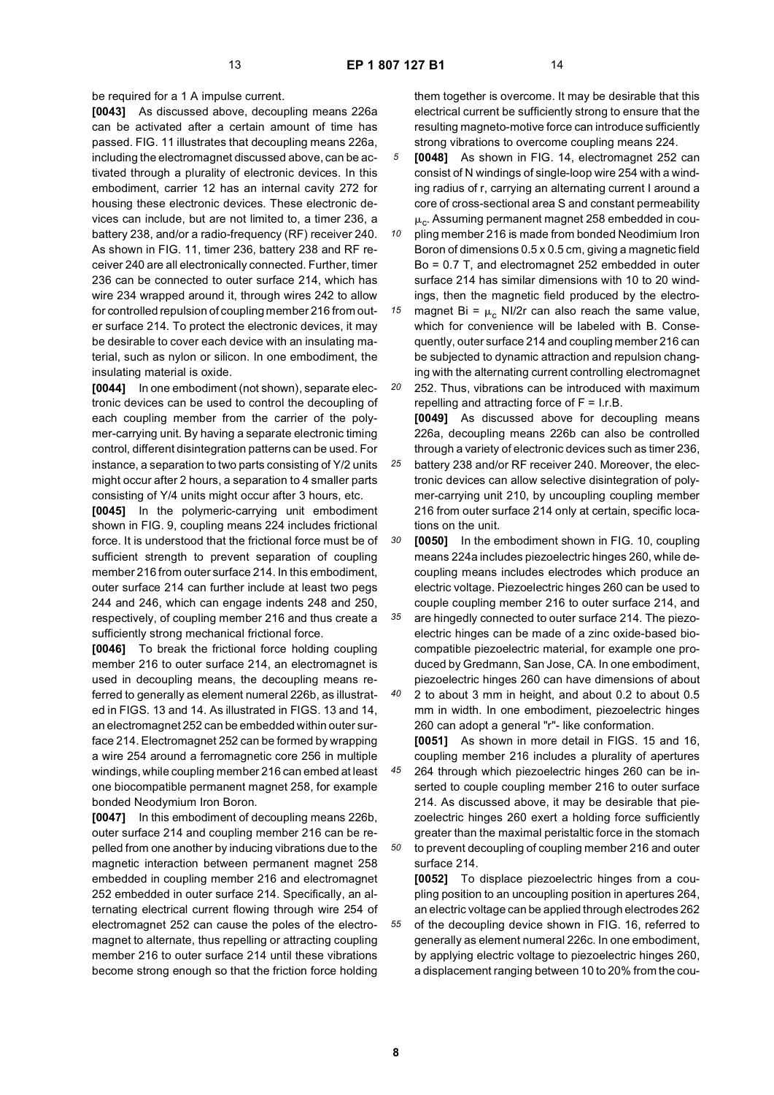be required for a 1 A impulse current.

**[0043]** As discussed above, decoupling means 226a can be activated after a certain amount of time has passed. FIG. 11 illustrates that decoupling means 226a, including the electromagnet discussed above, can be activated through a plurality of electronic devices. In this embodiment, carrier 12 has an internal cavity 272 for housing these electronic devices. These electronic devices can include, but are not limited to, a timer 236, a battery 238, and/or a radio-frequency (RF) receiver 240. As shown in FIG. 11, timer 236, battery 238 and RF receiver 240 are all electronically connected. Further, timer 236 can be connected to outer surface 214, which has wire 234 wrapped around it, through wires 242 to allow for controlled repulsion of coupling member 216 from outer surface 214. To protect the electronic devices, it may be desirable to cover each device with an insulating material, such as nylon or silicon. In one embodiment, the insulating material is oxide.

**[0044]** In one embodiment (not shown), separate electronic devices can be used to control the decoupling of each coupling member from the carrier of the polymer-carrying unit. By having a separate electronic timing control, different disintegration patterns can be used. For instance, a separation to two parts consisting of Y/2 units might occur after 2 hours, a separation to 4 smaller parts consisting of Y/4 units might occur after 3 hours, etc.

**[0045]** In the polymeric-carrying unit embodiment shown in FIG. 9, coupling means 224 includes frictional force. It is understood that the frictional force must be of sufficient strength to prevent separation of coupling member 216 from outer surface 214. In this embodiment, outer surface 214 can further include at least two pegs 244 and 246, which can engage indents 248 and 250, respectively, of coupling member 216 and thus create a sufficiently strong mechanical frictional force.

**[0046]** To break the frictional force holding coupling member 216 to outer surface 214, an electromagnet is used in decoupling means, the decoupling means referred to generally as element numeral 226b, as illustrated in FIGS. 13 and 14. As illustrated in FIGS. 13 and 14, an electromagnet 252 can be embedded within outer surface 214. Electromagnet 252 can be formed by wrapping a wire 254 around a ferromagnetic core 256 in multiple windings, while coupling member 216 can embed at least one biocompatible permanent magnet 258, for example bonded Neodymium Iron Boron.

**[0047]** In this embodiment of decoupling means 226b, outer surface 214 and coupling member 216 can be repelled from one another by inducing vibrations due to the magnetic interaction between permanent magnet 258 embedded in coupling member 216 and electromagnet 252 embedded in outer surface 214. Specifically, an alternating electrical current flowing through wire 254 of electromagnet 252 can cause the poles of the electromagnet to alternate, thus repelling or attracting coupling member 216 to outer surface 214 until these vibrations become strong enough so that the friction force holding

them together is overcome. It may be desirable that this electrical current be sufficiently strong to ensure that the resulting magneto-motive force can introduce sufficiently strong vibrations to overcome coupling means 224.

*5* **[0048]** As shown in FIG. 14, electromagnet 252 can consist of N windings of single-loop wire 254 with a winding radius of r, carrying an alternating current I around a core of cross-sectional area S and constant permeability  $\mu_c$ . Assuming permanent magnet 258 embedded in cou-

*10* pling member 216 is made from bonded Neodimium Iron Boron of dimensions 0.5 x 0.5 cm, giving a magnetic field Bo = 0.7 T, and electromagnet 252 embedded in outer surface 214 has similar dimensions with 10 to 20 windings, then the magnetic field produced by the electro-

*15 20* magnet Bi =  $\mu_c$  NI/2r can also reach the same value, which for convenience will be labeled with B. Consequently, outer surface 214 and coupling member 216 can be subjected to dynamic attraction and repulsion changing with the alternating current controlling electromagnet 252. Thus, vibrations can be introduced with maximum

repelling and attracting force of  $F = I.r.B$ . **[0049]** As discussed above for decoupling means 226a, decoupling means 226b can also be controlled

*25* through a variety of electronic devices such as timer 236, battery 238 and/or RF receiver 240. Moreover, the electronic devices can allow selective disintegration of polymer-carrying unit 210, by uncoupling coupling member 216 from outer surface 214 only at certain, specific locations on the unit.

*30* **[0050]** In the embodiment shown in FIG. 10, coupling means 224a includes piezoelectric hinges 260, while decoupling means includes electrodes which produce an electric voltage. Piezoelectric hinges 260 can be used to couple coupling member 216 to outer surface 214, and

*35* are hingedly connected to outer surface 214. The piezoelectric hinges can be made of a zinc oxide-based biocompatible piezoelectric material, for example one produced by Gredmann, San Jose, CA. In one embodiment, piezoelectric hinges 260 can have dimensions of about

*40* 2 to about 3 mm in height, and about 0.2 to about 0.5 mm in width. In one embodiment, piezoelectric hinges 260 can adopt a general "r"- like conformation.

**[0051]** As shown in more detail in FIGS. 15 and 16, coupling member 216 includes a plurality of apertures 264 through which piezoelectric hinges 260 can be in-

*50* serted to couple coupling member 216 to outer surface 214. As discussed above, it may be desirable that piezoelectric hinges 260 exert a holding force sufficiently greater than the maximal peristaltic force in the stomach to prevent decoupling of coupling member 216 and outer surface 214.

**[0052]** To displace piezoelectric hinges from a coupling position to an uncoupling position in apertures 264, an electric voltage can be applied through electrodes 262 of the decoupling device shown in FIG. 16, referred to generally as element numeral 226c. In one embodiment, by applying electric voltage to piezoelectric hinges 260, a displacement ranging between 10 to 20% from the cou-

*55*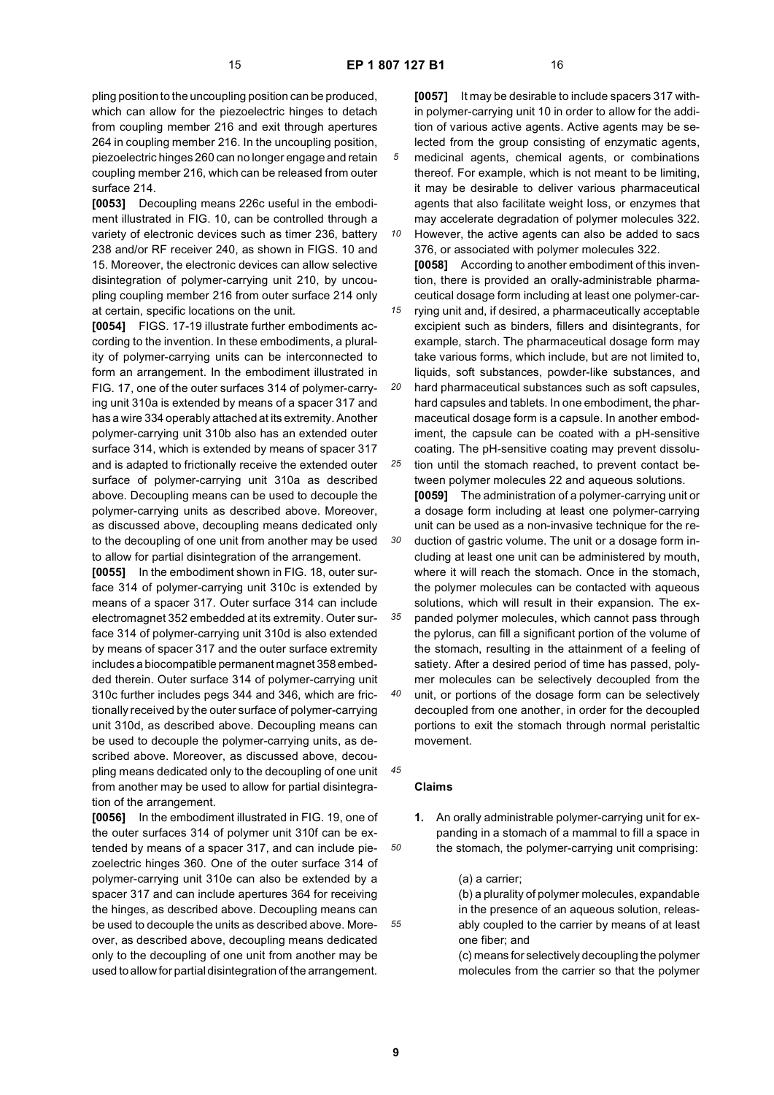pling position to the uncoupling position can be produced, which can allow for the piezoelectric hinges to detach from coupling member 216 and exit through apertures 264 in coupling member 216. In the uncoupling position, piezoelectric hinges 260 can no longer engage and retain coupling member 216, which can be released from outer surface 214.

**[0053]** Decoupling means 226c useful in the embodiment illustrated in FIG. 10, can be controlled through a variety of electronic devices such as timer 236, battery 238 and/or RF receiver 240, as shown in FIGS. 10 and 15. Moreover, the electronic devices can allow selective disintegration of polymer-carrying unit 210, by uncoupling coupling member 216 from outer surface 214 only at certain, specific locations on the unit.

**[0054]** FIGS. 17-19 illustrate further embodiments according to the invention. In these embodiments, a plurality of polymer-carrying units can be interconnected to form an arrangement. In the embodiment illustrated in FIG. 17, one of the outer surfaces 314 of polymer-carrying unit 310a is extended by means of a spacer 317 and has a wire 334 operably attached at its extremity. Another polymer-carrying unit 310b also has an extended outer surface 314, which is extended by means of spacer 317 and is adapted to frictionally receive the extended outer surface of polymer-carrying unit 310a as described above. Decoupling means can be used to decouple the polymer-carrying units as described above. Moreover, as discussed above, decoupling means dedicated only to the decoupling of one unit from another may be used to allow for partial disintegration of the arrangement.

**[0055]** In the embodiment shown in FIG. 18, outer surface 314 of polymer-carrying unit 310c is extended by means of a spacer 317. Outer surface 314 can include electromagnet 352 embedded at its extremity. Outer surface 314 of polymer-carrying unit 310d is also extended by means of spacer 317 and the outer surface extremity includes a biocompatible permanent magnet 358 embedded therein. Outer surface 314 of polymer-carrying unit 310c further includes pegs 344 and 346, which are frictionally received by the outer surface of polymer-carrying unit 310d, as described above. Decoupling means can be used to decouple the polymer-carrying units, as described above. Moreover, as discussed above, decoupling means dedicated only to the decoupling of one unit from another may be used to allow for partial disintegration of the arrangement.

**[0056]** In the embodiment illustrated in FIG. 19, one of the outer surfaces 314 of polymer unit 310f can be extended by means of a spacer 317, and can include piezoelectric hinges 360. One of the outer surface 314 of polymer-carrying unit 310e can also be extended by a spacer 317 and can include apertures 364 for receiving the hinges, as described above. Decoupling means can be used to decouple the units as described above. Moreover, as described above, decoupling means dedicated only to the decoupling of one unit from another may be used to allow for partial disintegration of the arrangement.

**[0057]** It may be desirable to include spacers 317 within polymer-carrying unit 10 in order to allow for the addition of various active agents. Active agents may be selected from the group consisting of enzymatic agents, medicinal agents, chemical agents, or combinations thereof. For example, which is not meant to be limiting, it may be desirable to deliver various pharmaceutical agents that also facilitate weight loss, or enzymes that may accelerate degradation of polymer molecules 322.

*10* However, the active agents can also be added to sacs 376, or associated with polymer molecules 322. **[0058]** According to another embodiment of this invention, there is provided an orally-administrable pharmaceutical dosage form including at least one polymer-car-

*15* rying unit and, if desired, a pharmaceutically acceptable excipient such as binders, fillers and disintegrants, for example, starch. The pharmaceutical dosage form may take various forms, which include, but are not limited to, liquids, soft substances, powder-like substances, and

*20 25* hard pharmaceutical substances such as soft capsules, hard capsules and tablets. In one embodiment, the pharmaceutical dosage form is a capsule. In another embodiment, the capsule can be coated with a pH-sensitive coating. The pH-sensitive coating may prevent dissolution until the stomach reached, to prevent contact be-

*30 35 40* tween polymer molecules 22 and aqueous solutions. **[0059]** The administration of a polymer-carrying unit or a dosage form including at least one polymer-carrying unit can be used as a non-invasive technique for the reduction of gastric volume. The unit or a dosage form including at least one unit can be administered by mouth, where it will reach the stomach. Once in the stomach, the polymer molecules can be contacted with aqueous solutions, which will result in their expansion. The expanded polymer molecules, which cannot pass through the pylorus, can fill a significant portion of the volume of the stomach, resulting in the attainment of a feeling of satiety. After a desired period of time has passed, polymer molecules can be selectively decoupled from the unit, or portions of the dosage form can be selectively decoupled from one another, in order for the decoupled

portions to exit the stomach through normal peristaltic movement.

# **Claims**

*45*

*50*

*55*

**1.** An orally administrable polymer-carrying unit for expanding in a stomach of a mammal to fill a space in the stomach, the polymer-carrying unit comprising:

(a) a carrier;

(b) a plurality of polymer molecules, expandable in the presence of an aqueous solution, releasably coupled to the carrier by means of at least one fiber; and

(c) means for selectively decoupling the polymer molecules from the carrier so that the polymer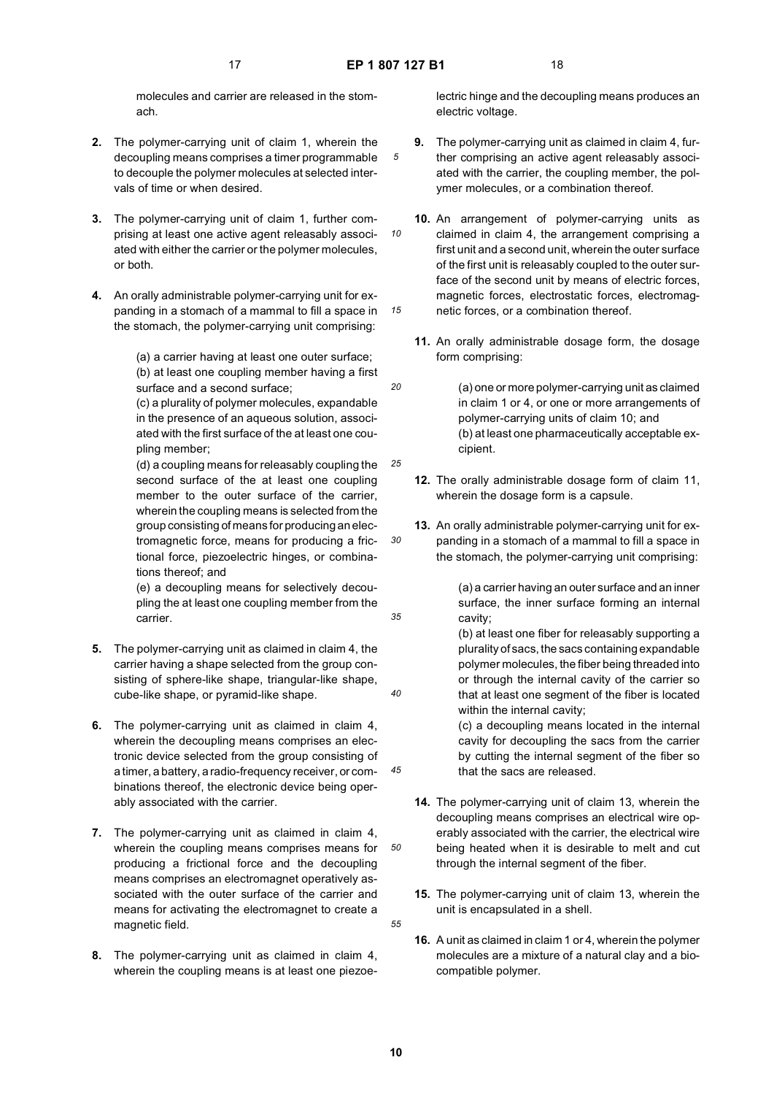*10*

*20*

*25*

*30*

*35*

*40*

*45*

*50*

*55*

molecules and carrier are released in the stomach.

- **2.** The polymer-carrying unit of claim 1, wherein the decoupling means comprises a timer programmable to decouple the polymer molecules at selected intervals of time or when desired.
- **3.** The polymer-carrying unit of claim 1, further comprising at least one active agent releasably associated with either the carrier or the polymer molecules, or both.
- **4.** An orally administrable polymer-carrying unit for expanding in a stomach of a mammal to fill a space in the stomach, the polymer-carrying unit comprising:

(a) a carrier having at least one outer surface; (b) at least one coupling member having a first surface and a second surface;

(c) a plurality of polymer molecules, expandable in the presence of an aqueous solution, associated with the first surface of the at least one coupling member;

(d) a coupling means for releasably coupling the second surface of the at least one coupling member to the outer surface of the carrier, wherein the coupling means is selected from the group consisting of means for producing an electromagnetic force, means for producing a frictional force, piezoelectric hinges, or combinations thereof; and

(e) a decoupling means for selectively decoupling the at least one coupling member from the carrier.

- **5.** The polymer-carrying unit as claimed in claim 4, the carrier having a shape selected from the group consisting of sphere-like shape, triangular-like shape, cube-like shape, or pyramid-like shape.
- **6.** The polymer-carrying unit as claimed in claim 4, wherein the decoupling means comprises an electronic device selected from the group consisting of a timer, a battery, a radio-frequency receiver, or combinations thereof, the electronic device being operably associated with the carrier.
- **7.** The polymer-carrying unit as claimed in claim 4, wherein the coupling means comprises means for producing a frictional force and the decoupling means comprises an electromagnet operatively associated with the outer surface of the carrier and means for activating the electromagnet to create a magnetic field.
- **8.** The polymer-carrying unit as claimed in claim 4, wherein the coupling means is at least one piezoe-

lectric hinge and the decoupling means produces an electric voltage.

- **9.** The polymer-carrying unit as claimed in claim 4, further comprising an active agent releasably associated with the carrier, the coupling member, the polymer molecules, or a combination thereof.
- *15* **10.** An arrangement of polymer-carrying units as claimed in claim 4, the arrangement comprising a first unit and a second unit, wherein the outer surface of the first unit is releasably coupled to the outer surface of the second unit by means of electric forces, magnetic forces, electrostatic forces, electromagnetic forces, or a combination thereof.
	- **11.** An orally administrable dosage form, the dosage form comprising:
		- (a) one or more polymer-carrying unit as claimed in claim 1 or 4, or one or more arrangements of polymer-carrying units of claim 10; and (b) at least one pharmaceutically acceptable excipient.
	- **12.** The orally administrable dosage form of claim 11, wherein the dosage form is a capsule.
	- **13.** An orally administrable polymer-carrying unit for expanding in a stomach of a mammal to fill a space in the stomach, the polymer-carrying unit comprising:

(a) a carrier having an outer surface and an inner surface, the inner surface forming an internal cavity;

(b) at least one fiber for releasably supporting a plurality of sacs, the sacs containing expandable polymer molecules, the fiber being threaded into or through the internal cavity of the carrier so that at least one segment of the fiber is located within the internal cavity;

(c) a decoupling means located in the internal cavity for decoupling the sacs from the carrier by cutting the internal segment of the fiber so that the sacs are released.

- **14.** The polymer-carrying unit of claim 13, wherein the decoupling means comprises an electrical wire operably associated with the carrier, the electrical wire being heated when it is desirable to melt and cut through the internal segment of the fiber.
- **15.** The polymer-carrying unit of claim 13, wherein the unit is encapsulated in a shell.
- **16.** A unit as claimed in claim 1 or 4, wherein the polymer molecules are a mixture of a natural clay and a biocompatible polymer.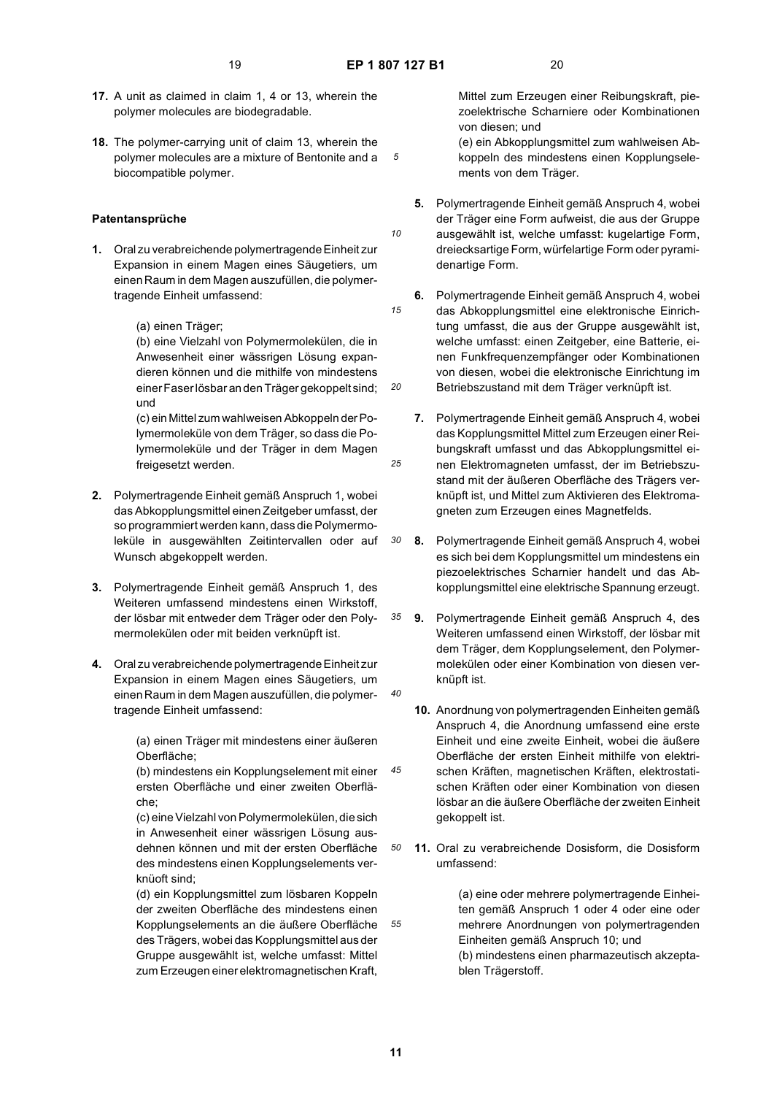*15*

*20*

*25*

*30*

*35*

*40*

*45*

- **17.** A unit as claimed in claim 1, 4 or 13, wherein the polymer molecules are biodegradable.
- *5* **18.** The polymer-carrying unit of claim 13, wherein the polymer molecules are a mixture of Bentonite and a biocompatible polymer.

## **Patentansprüche**

**1.** Oral zu verabreichende polymertragende Einheit zur Expansion in einem Magen eines Säugetiers, um einen Raum in dem Magen auszufüllen, die polymertragende Einheit umfassend:

(a) einen Träger;

(b) eine Vielzahl von Polymermolekülen, die in Anwesenheit einer wässrigen Lösung expandieren können und die mithilfe von mindestens einer Faser lösbar an den Träger gekoppelt sind; und

(c) ein Mittel zum wahlweisen Abkoppeln der Polymermoleküle von dem Träger, so dass die Polymermoleküle und der Träger in dem Magen freigesetzt werden.

- **2.** Polymertragende Einheit gemäß Anspruch 1, wobei das Abkopplungsmittel einen Zeitgeber umfasst, der so programmiert werden kann, dass die Polymermoleküle in ausgewählten Zeitintervallen oder auf Wunsch abgekoppelt werden.
- **3.** Polymertragende Einheit gemäß Anspruch 1, des Weiteren umfassend mindestens einen Wirkstoff, der lösbar mit entweder dem Träger oder den Polymermolekülen oder mit beiden verknüpft ist.
- **4.** Oral zu verabreichende polymertragende Einheit zur Expansion in einem Magen eines Säugetiers, um einen Raum in dem Magen auszufüllen, die polymertragende Einheit umfassend:

(a) einen Träger mit mindestens einer äußeren Oberfläche;

(b) mindestens ein Kopplungselement mit einer ersten Oberfläche und einer zweiten Oberfläche;

(c) eine Vielzahl von Polymermolekülen, die sich in Anwesenheit einer wässrigen Lösung ausdehnen können und mit der ersten Oberfläche des mindestens einen Kopplungselements verknüoft sind;

(d) ein Kopplungsmittel zum lösbaren Koppeln der zweiten Oberfläche des mindestens einen Kopplungselements an die äußere Oberfläche des Trägers, wobei das Kopplungsmittel aus der Gruppe ausgewählt ist, welche umfasst: Mittel zum Erzeugen einer elektromagnetischen Kraft,

Mittel zum Erzeugen einer Reibungskraft, piezoelektrische Scharniere oder Kombinationen von diesen; und

(e) ein Abkopplungsmittel zum wahlweisen Abkoppeln des mindestens einen Kopplungselements von dem Träger.

- **5.** Polymertragende Einheit gemäß Anspruch 4, wobei der Träger eine Form aufweist, die aus der Gruppe ausgewählt ist, welche umfasst: kugelartige Form, dreiecksartige Form, würfelartige Form oder pyramidenartige Form.
- **6.** Polymertragende Einheit gemäß Anspruch 4, wobei das Abkopplungsmittel eine elektronische Einrichtung umfasst, die aus der Gruppe ausgewählt ist, welche umfasst: einen Zeitgeber, eine Batterie, einen Funkfrequenzempfänger oder Kombinationen von diesen, wobei die elektronische Einrichtung im Betriebszustand mit dem Träger verknüpft ist.
- **7.** Polymertragende Einheit gemäß Anspruch 4, wobei das Kopplungsmittel Mittel zum Erzeugen einer Reibungskraft umfasst und das Abkopplungsmittel einen Elektromagneten umfasst, der im Betriebszustand mit der äußeren Oberfläche des Trägers verknüpft ist, und Mittel zum Aktivieren des Elektromagneten zum Erzeugen eines Magnetfelds.
- **8.** Polymertragende Einheit gemäß Anspruch 4, wobei es sich bei dem Kopplungsmittel um mindestens ein piezoelektrisches Scharnier handelt und das Abkopplungsmittel eine elektrische Spannung erzeugt.
- **9.** Polymertragende Einheit gemäß Anspruch 4, des Weiteren umfassend einen Wirkstoff, der lösbar mit dem Träger, dem Kopplungselement, den Polymermolekülen oder einer Kombination von diesen verknüpft ist.
- **10.** Anordnung von polymertragenden Einheiten gemäß Anspruch 4, die Anordnung umfassend eine erste Einheit und eine zweite Einheit, wobei die äußere Oberfläche der ersten Einheit mithilfe von elektrischen Kräften, magnetischen Kräften, elektrostatischen Kräften oder einer Kombination von diesen lösbar an die äußere Oberfläche der zweiten Einheit gekoppelt ist.
- *50* **11.** Oral zu verabreichende Dosisform, die Dosisform umfassend:

(a) eine oder mehrere polymertragende Einheiten gemäß Anspruch 1 oder 4 oder eine oder mehrere Anordnungen von polymertragenden Einheiten gemäß Anspruch 10; und (b) mindestens einen pharmazeutisch akzeptablen Trägerstoff.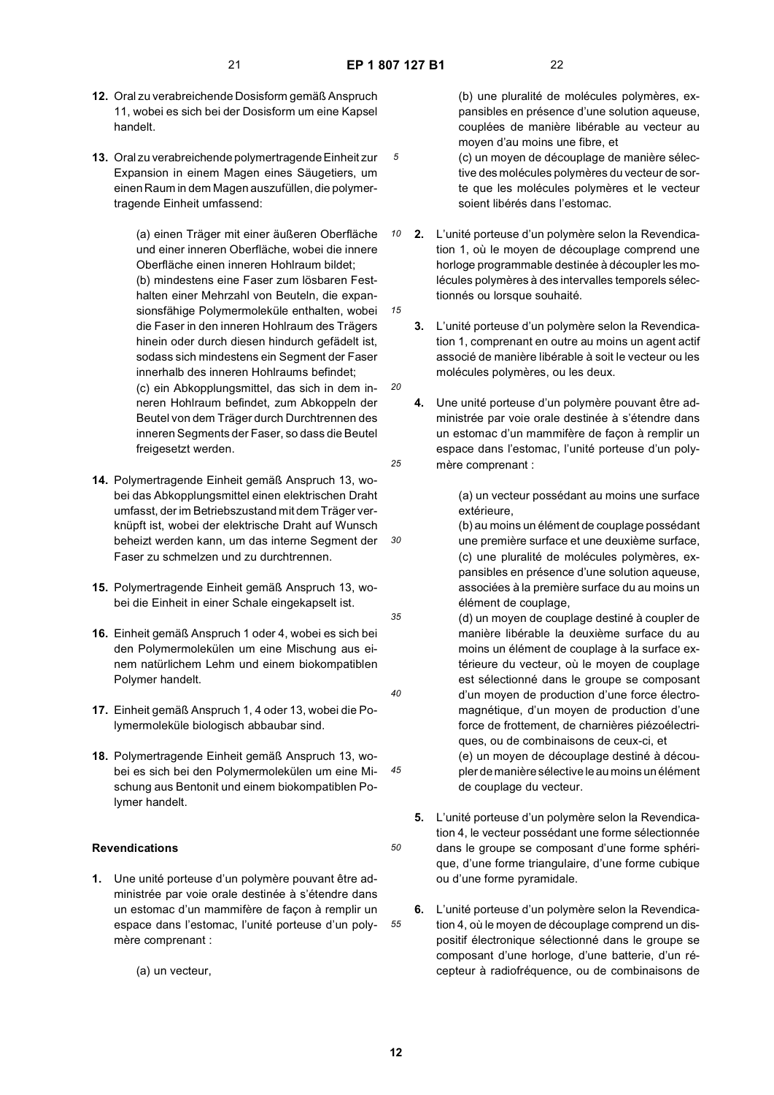*10*

*15*

*20*

*25*

*30*

*35*

*40*

*50*

*55*

- **12.** Oral zu verabreichende Dosisform gemäß Anspruch 11, wobei es sich bei der Dosisform um eine Kapsel handelt.
- **13.** Oral zu verabreichende polymertragende Einheit zur Expansion in einem Magen eines Säugetiers, um einen Raum in dem Magen auszufüllen, die polymertragende Einheit umfassend:

(a) einen Träger mit einer äußeren Oberfläche und einer inneren Oberfläche, wobei die innere Oberfläche einen inneren Hohlraum bildet; (b) mindestens eine Faser zum lösbaren Festhalten einer Mehrzahl von Beuteln, die expansionsfähige Polymermoleküle enthalten, wobei die Faser in den inneren Hohlraum des Trägers hinein oder durch diesen hindurch gefädelt ist, sodass sich mindestens ein Segment der Faser innerhalb des inneren Hohlraums befindet; (c) ein Abkopplungsmittel, das sich in dem inneren Hohlraum befindet, zum Abkoppeln der Beutel von dem Träger durch Durchtrennen des inneren Segments der Faser, so dass die Beutel freigesetzt werden.

- **14.** Polymertragende Einheit gemäß Anspruch 13, wobei das Abkopplungsmittel einen elektrischen Draht umfasst, der im Betriebszustand mit dem Träger verknüpft ist, wobei der elektrische Draht auf Wunsch beheizt werden kann, um das interne Segment der Faser zu schmelzen und zu durchtrennen.
- **15.** Polymertragende Einheit gemäß Anspruch 13, wobei die Einheit in einer Schale eingekapselt ist.
- **16.** Einheit gemäß Anspruch 1 oder 4, wobei es sich bei den Polymermolekülen um eine Mischung aus einem natürlichem Lehm und einem biokompatiblen Polymer handelt.
- **17.** Einheit gemäß Anspruch 1, 4 oder 13, wobei die Polymermoleküle biologisch abbaubar sind.
- *45* **18.** Polymertragende Einheit gemäß Anspruch 13, wobei es sich bei den Polymermolekülen um eine Mischung aus Bentonit und einem biokompatiblen Polymer handelt.

## **Revendications**

- **1.** Une unité porteuse d'un polymère pouvant être administrée par voie orale destinée à s'étendre dans un estomac d'un mammifère de façon à remplir un espace dans l'estomac, l'unité porteuse d'un polymère comprenant :
	- (a) un vecteur,

(b) une pluralité de molécules polymères, expansibles en présence d'une solution aqueuse, couplées de manière libérable au vecteur au moyen d'au moins une fibre, et

(c) un moyen de découplage de manière sélective des molécules polymères du vecteur de sorte que les molécules polymères et le vecteur soient libérés dans l'estomac.

- **2.** L'unité porteuse d'un polymère selon la Revendication 1, où le moyen de découplage comprend une horloge programmable destinée à découpler les molécules polymères à des intervalles temporels sélectionnés ou lorsque souhaité.
- **3.** L'unité porteuse d'un polymère selon la Revendication 1, comprenant en outre au moins un agent actif associé de manière libérable à soit le vecteur ou les molécules polymères, ou les deux.
- **4.** Une unité porteuse d'un polymère pouvant être administrée par voie orale destinée à s'étendre dans un estomac d'un mammifère de façon à remplir un espace dans l'estomac, l'unité porteuse d'un polymère comprenant :

(a) un vecteur possédant au moins une surface extérieure,

(b) au moins un élément de couplage possédant une première surface et une deuxième surface, (c) une pluralité de molécules polymères, expansibles en présence d'une solution aqueuse, associées à la première surface du au moins un élément de couplage,

(d) un moyen de couplage destiné à coupler de manière libérable la deuxième surface du au moins un élément de couplage à la surface extérieure du vecteur, où le moyen de couplage est sélectionné dans le groupe se composant d'un moyen de production d'une force électromagnétique, d'un moyen de production d'une force de frottement, de charnières piézoélectriques, ou de combinaisons de ceux-ci, et (e) un moyen de découplage destiné à découpler de manière sélective le au moins un élément de couplage du vecteur.

- **5.** L'unité porteuse d'un polymère selon la Revendication 4, le vecteur possédant une forme sélectionnée dans le groupe se composant d'une forme sphérique, d'une forme triangulaire, d'une forme cubique ou d'une forme pyramidale.
- **6.** L'unité porteuse d'un polymère selon la Revendication 4, où le moyen de découplage comprend un dispositif électronique sélectionné dans le groupe se composant d'une horloge, d'une batterie, d'un récepteur à radiofréquence, ou de combinaisons de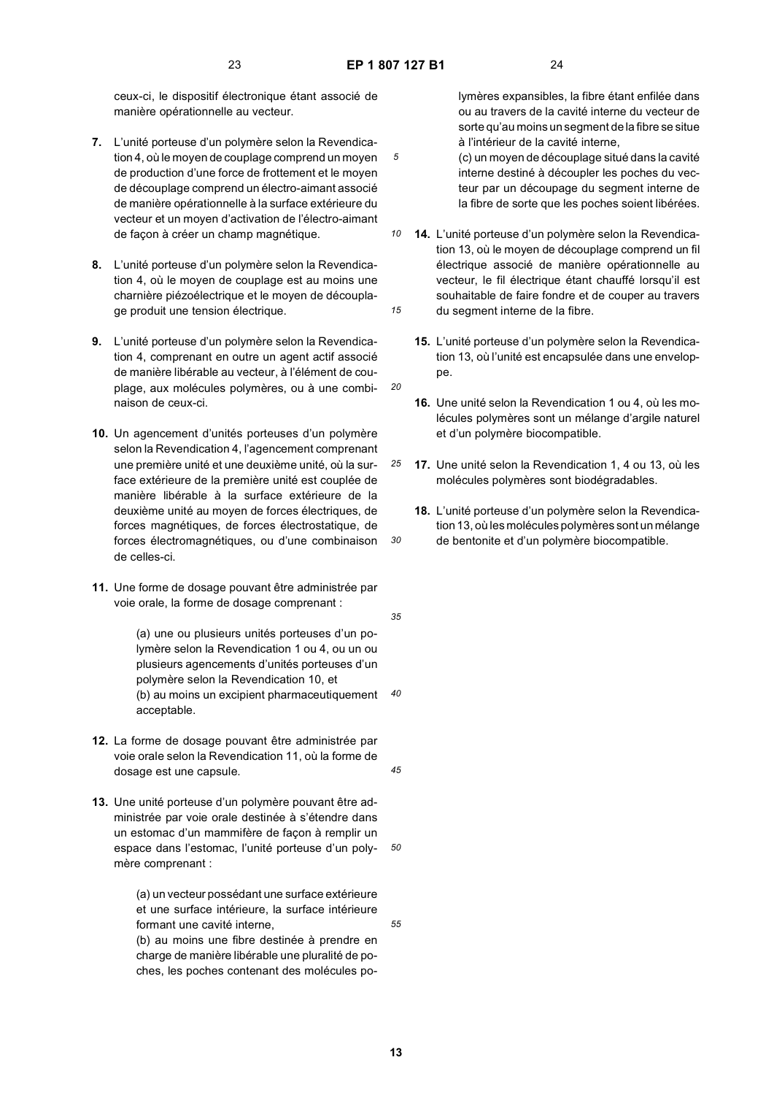*20*

*25*

*30*

ceux-ci, le dispositif électronique étant associé de manière opérationnelle au vecteur.

- **7.** L'unité porteuse d'un polymère selon la Revendication 4, où le moyen de couplage comprend un moyen de production d'une force de frottement et le moyen de découplage comprend un électro-aimant associé de manière opérationnelle à la surface extérieure du vecteur et un moyen d'activation de l'électro-aimant de façon à créer un champ magnétique.
- **8.** L'unité porteuse d'un polymère selon la Revendication 4, où le moyen de couplage est au moins une charnière piézoélectrique et le moyen de découplage produit une tension électrique.
- **9.** L'unité porteuse d'un polymère selon la Revendication 4, comprenant en outre un agent actif associé de manière libérable au vecteur, à l'élément de couplage, aux molécules polymères, ou à une combinaison de ceux-ci.
- **10.** Un agencement d'unités porteuses d'un polymère selon la Revendication 4, l'agencement comprenant une première unité et une deuxième unité, où la surface extérieure de la première unité est couplée de manière libérable à la surface extérieure de la deuxième unité au moyen de forces électriques, de forces magnétiques, de forces électrostatique, de forces électromagnétiques, ou d'une combinaison de celles-ci.
- **11.** Une forme de dosage pouvant être administrée par voie orale, la forme de dosage comprenant :

(a) une ou plusieurs unités porteuses d'un polymère selon la Revendication 1 ou 4, ou un ou plusieurs agencements d'unités porteuses d'un polymère selon la Revendication 10, et (b) au moins un excipient pharmaceutiquement acceptable.

- **12.** La forme de dosage pouvant être administrée par voie orale selon la Revendication 11, où la forme de dosage est une capsule.
- *50* **13.** Une unité porteuse d'un polymère pouvant être administrée par voie orale destinée à s'étendre dans un estomac d'un mammifère de façon à remplir un espace dans l'estomac, l'unité porteuse d'un polymère comprenant :

(a) un vecteur possédant une surface extérieure et une surface intérieure, la surface intérieure formant une cavité interne,

(b) au moins une fibre destinée à prendre en charge de manière libérable une pluralité de poches, les poches contenant des molécules polymères expansibles, la fibre étant enfilée dans ou au travers de la cavité interne du vecteur de sorte qu'au moins un segment de la fibre se situe à l'intérieur de la cavité interne,

- (c) un moyen de découplage situé dans la cavité interne destiné à découpler les poches du vecteur par un découpage du segment interne de la fibre de sorte que les poches soient libérées.
- *10 15* **14.** L'unité porteuse d'un polymère selon la Revendication 13, où le moyen de découplage comprend un fil électrique associé de manière opérationnelle au vecteur, le fil électrique étant chauffé lorsqu'il est souhaitable de faire fondre et de couper au travers du segment interne de la fibre.
	- **15.** L'unité porteuse d'un polymère selon la Revendication 13, où l'unité est encapsulée dans une enveloppe.
	- **16.** Une unité selon la Revendication 1 ou 4, où les molécules polymères sont un mélange d'argile naturel et d'un polymère biocompatible.
	- **17.** Une unité selon la Revendication 1, 4 ou 13, où les molécules polymères sont biodégradables.
	- **18.** L'unité porteuse d'un polymère selon la Revendication 13, où les molécules polymères sont un mélange de bentonite et d'un polymère biocompatible.
- *35*

*40*

*45*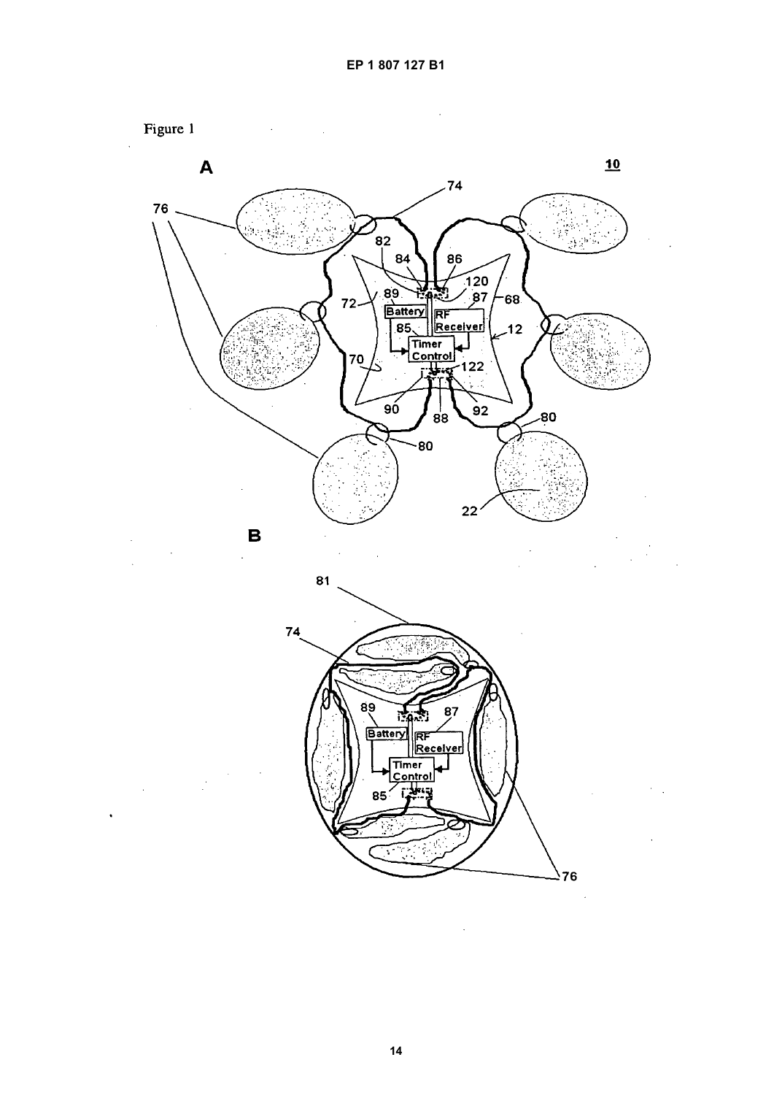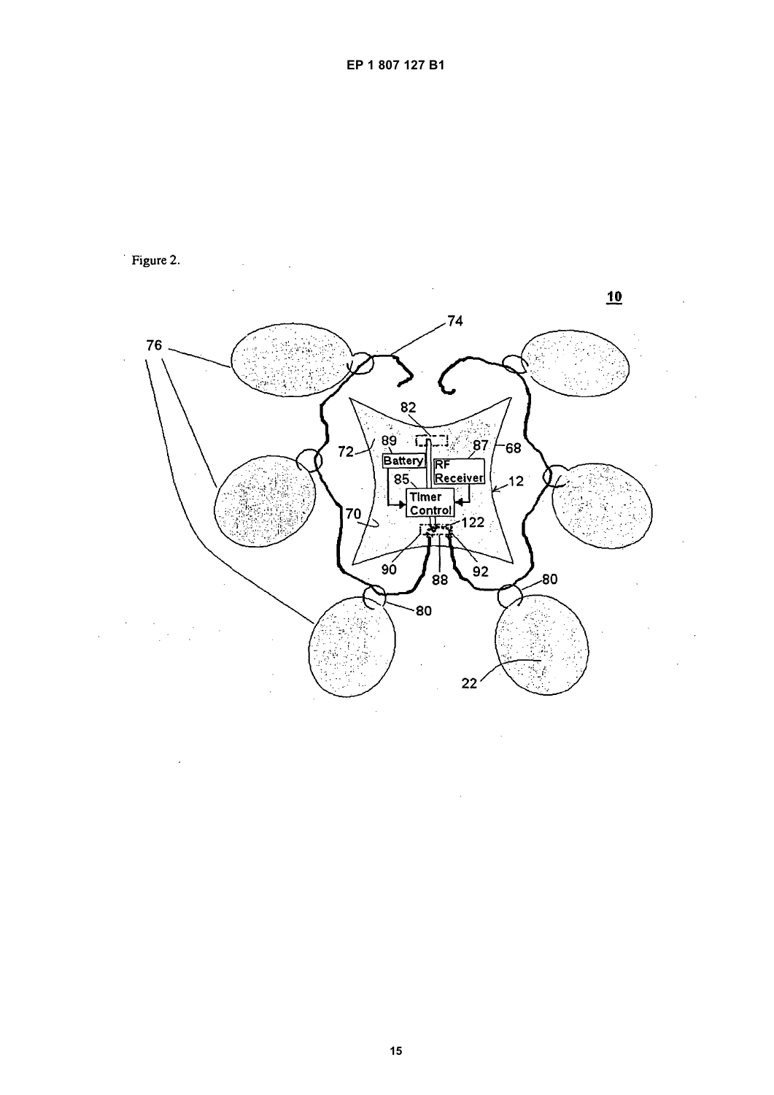

Figure 2.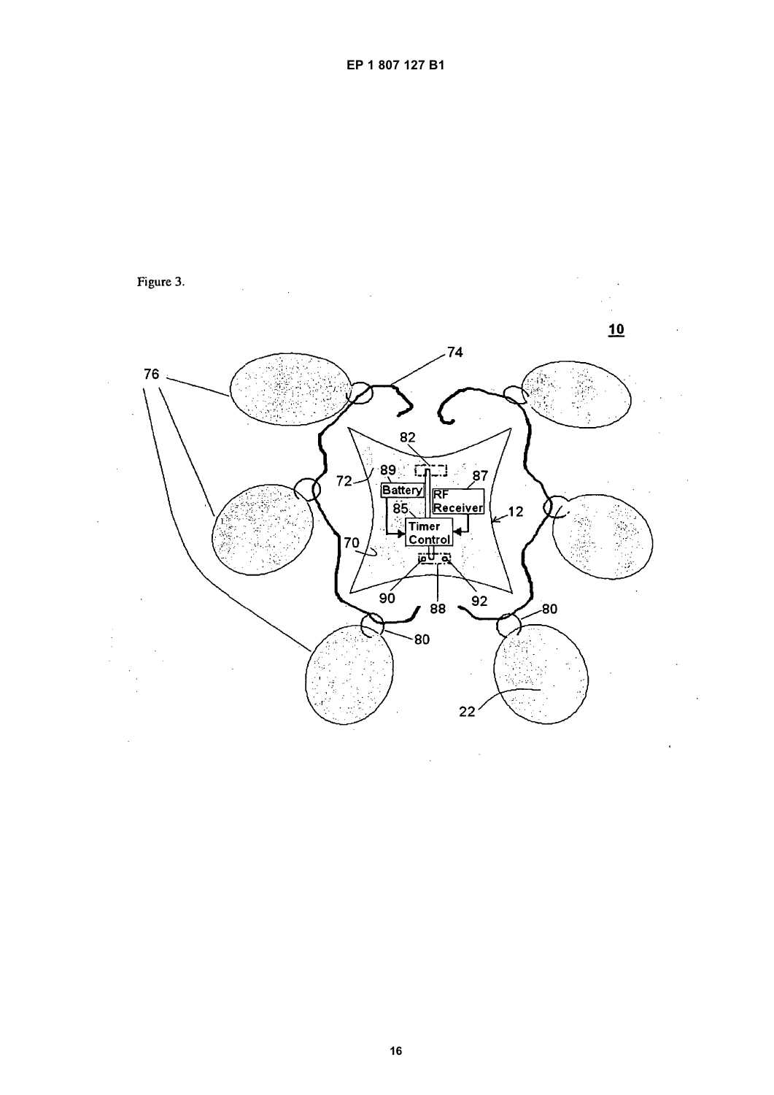

 $\hat{\boldsymbol{\cdot}$ 

16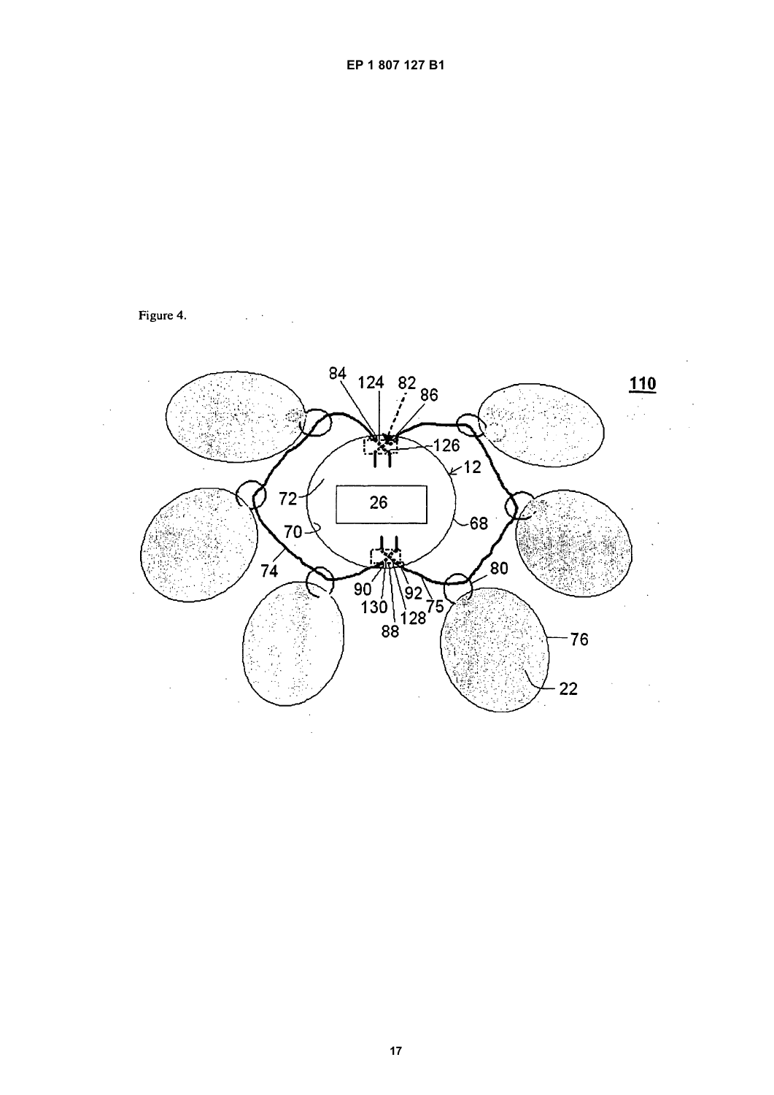

Figure 4.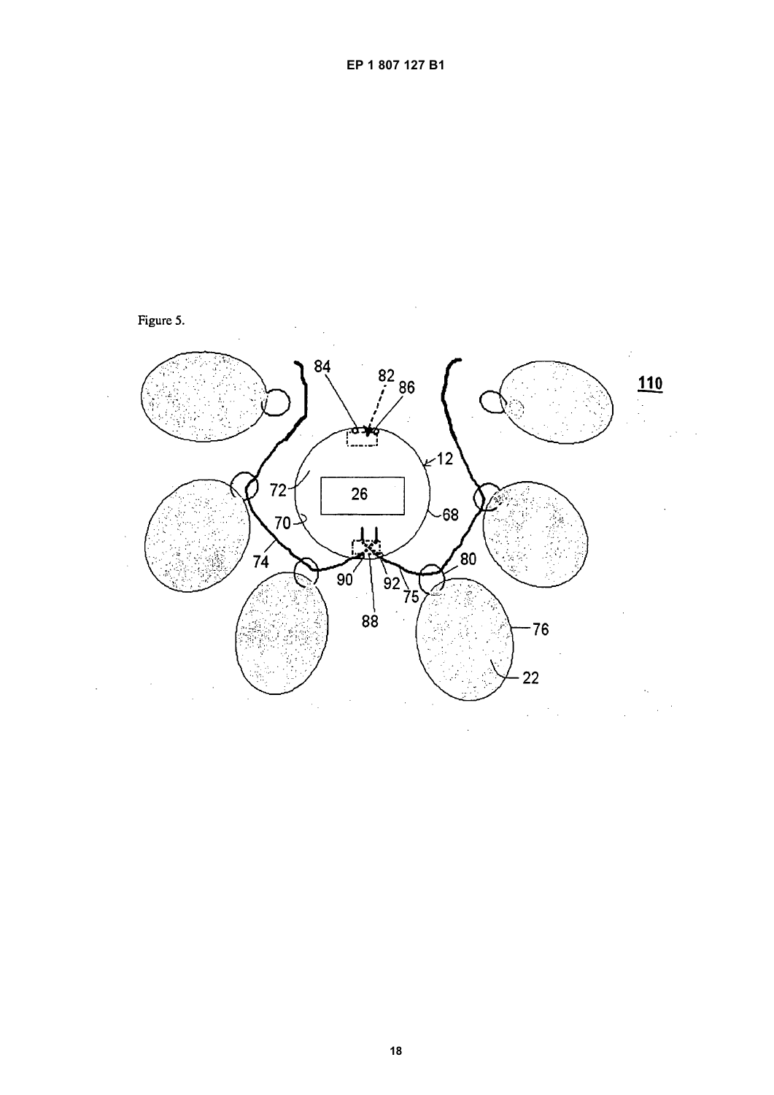

Figure 5.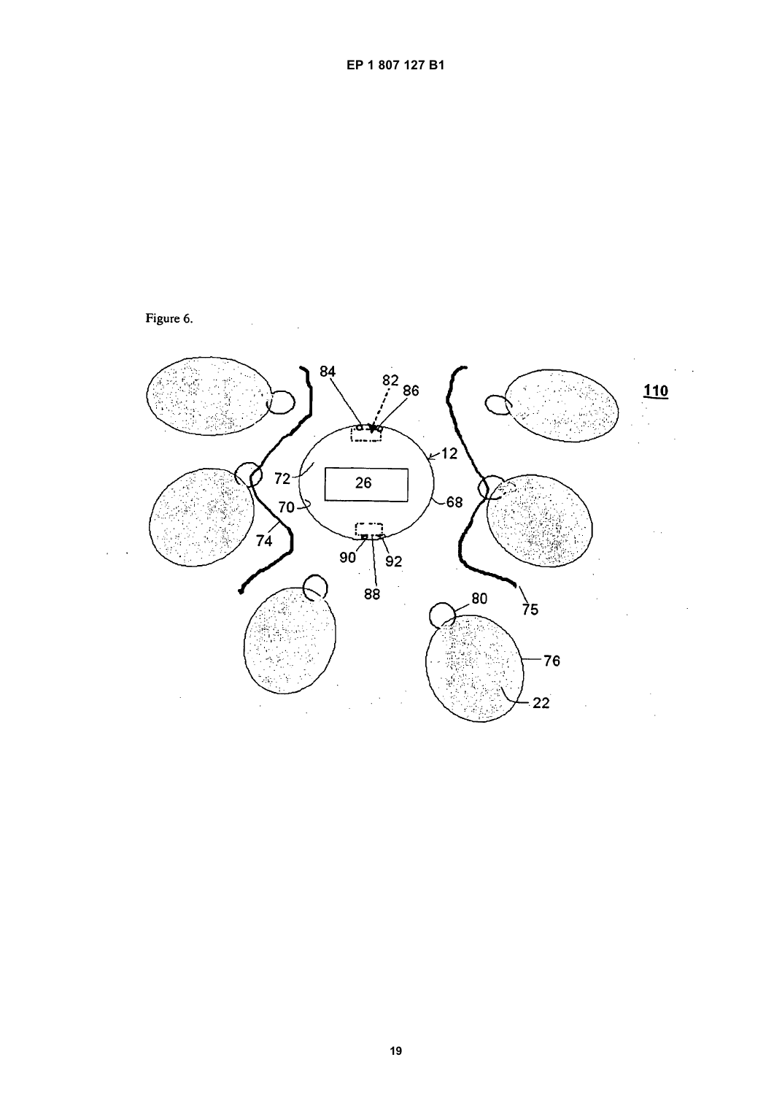

EP 1 807 127 B1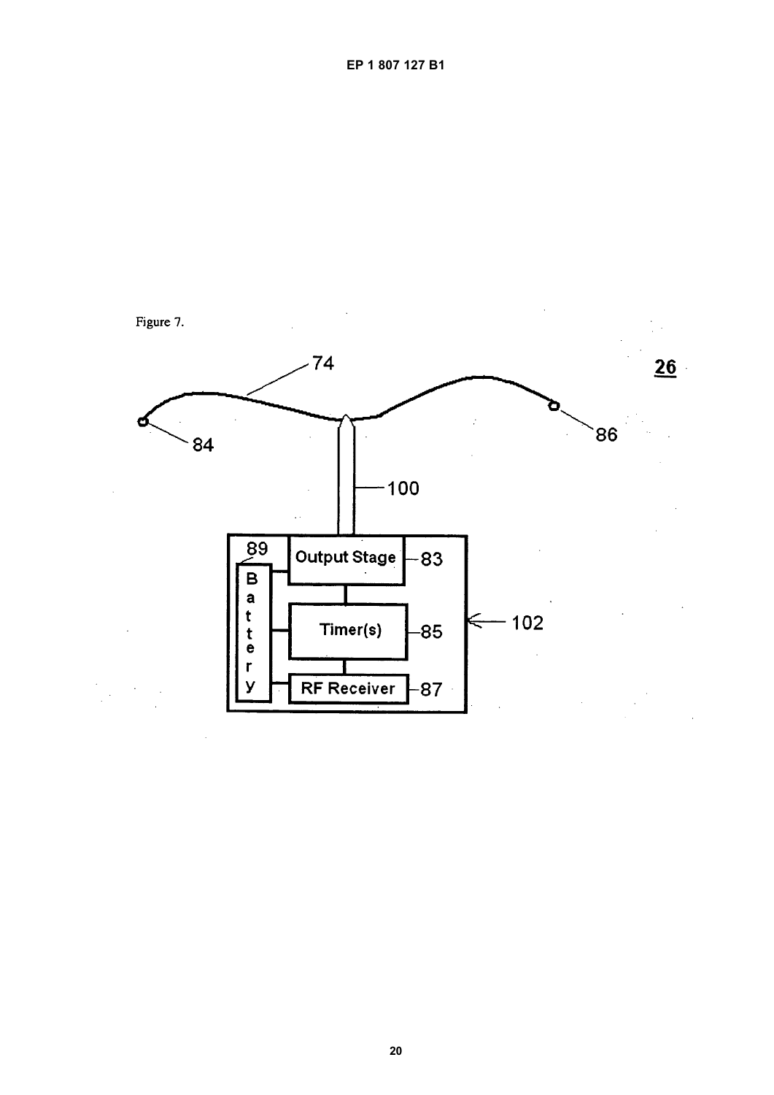

EP 1 807 127 B1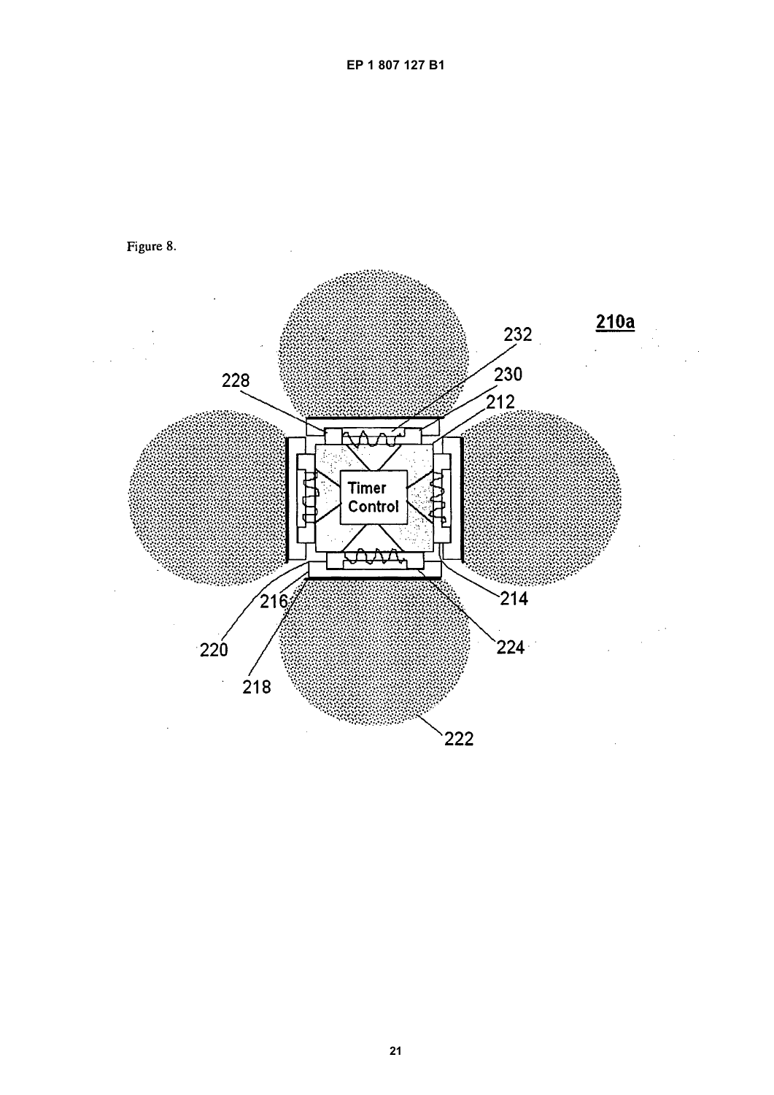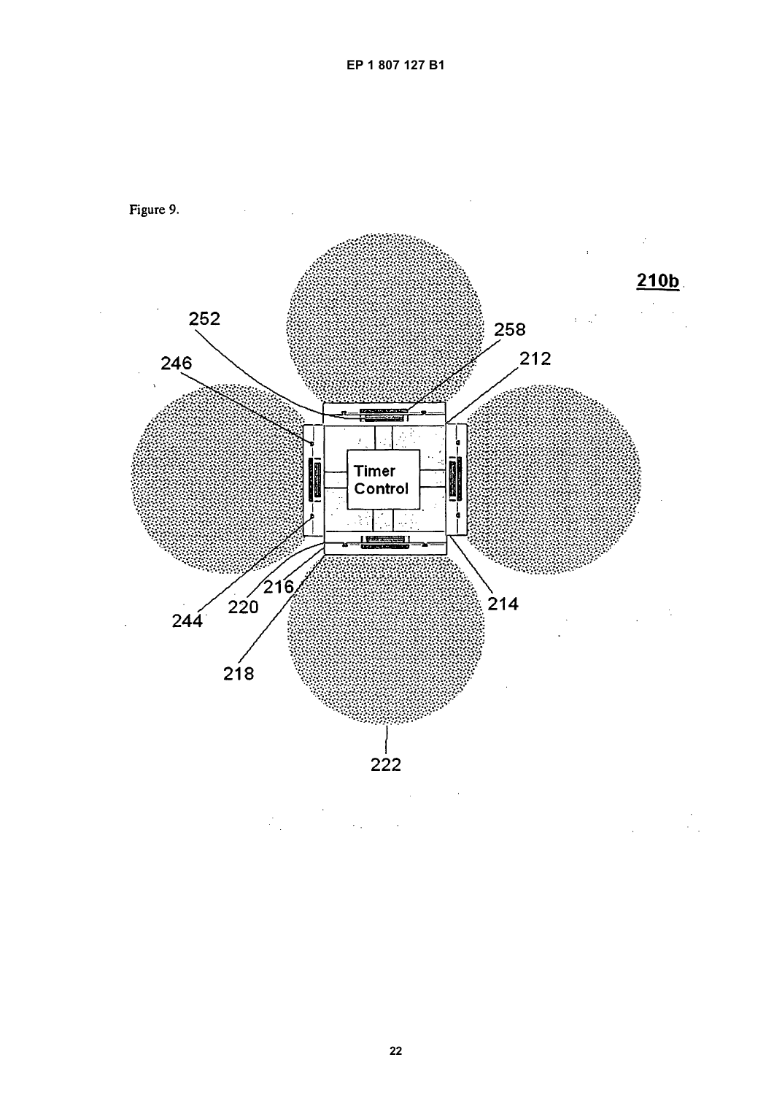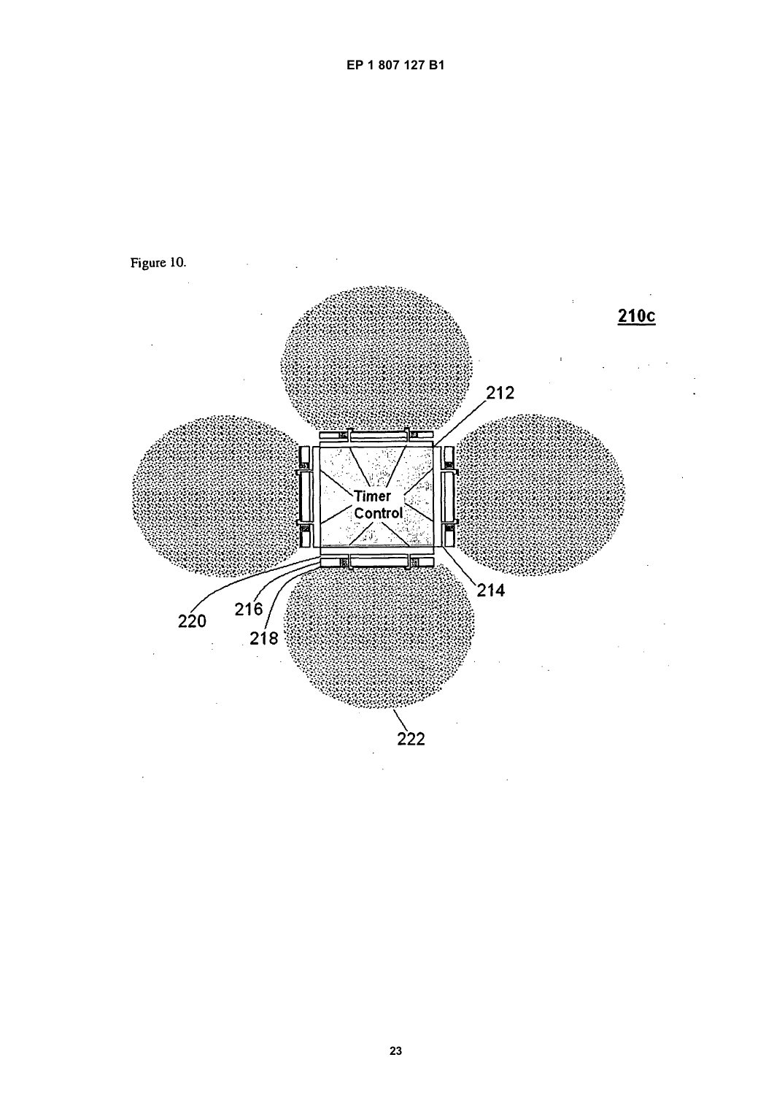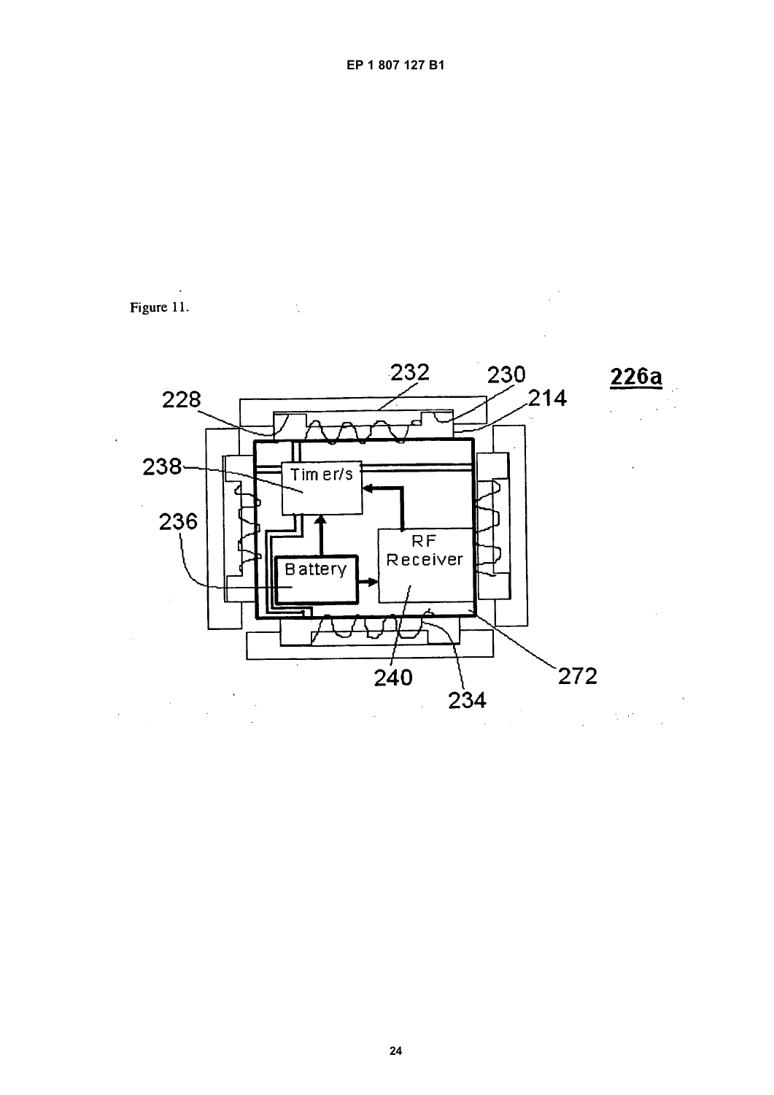

Figure 11.

ś,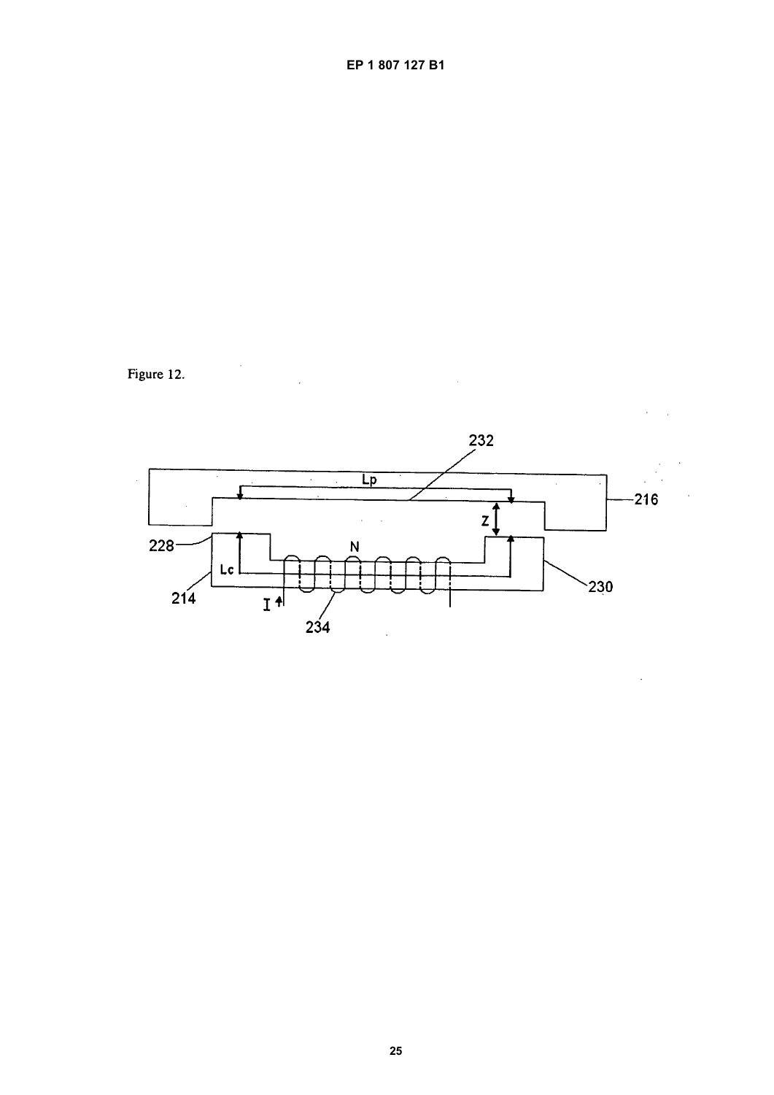

Figure 12.

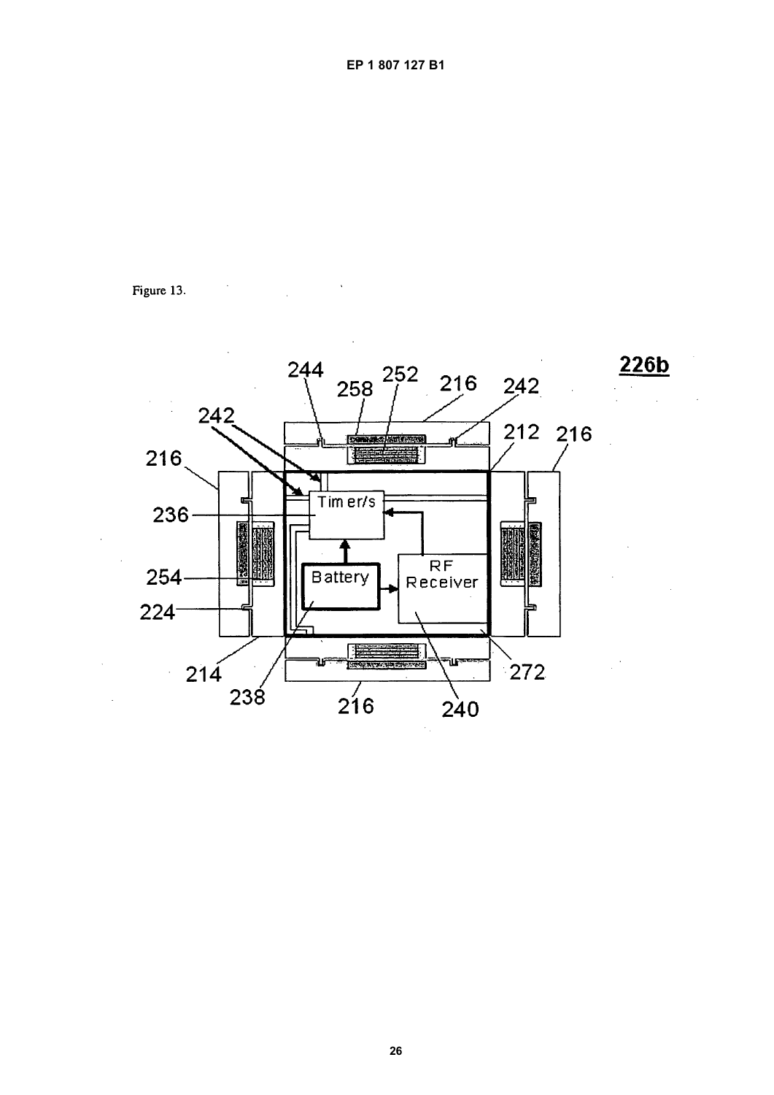

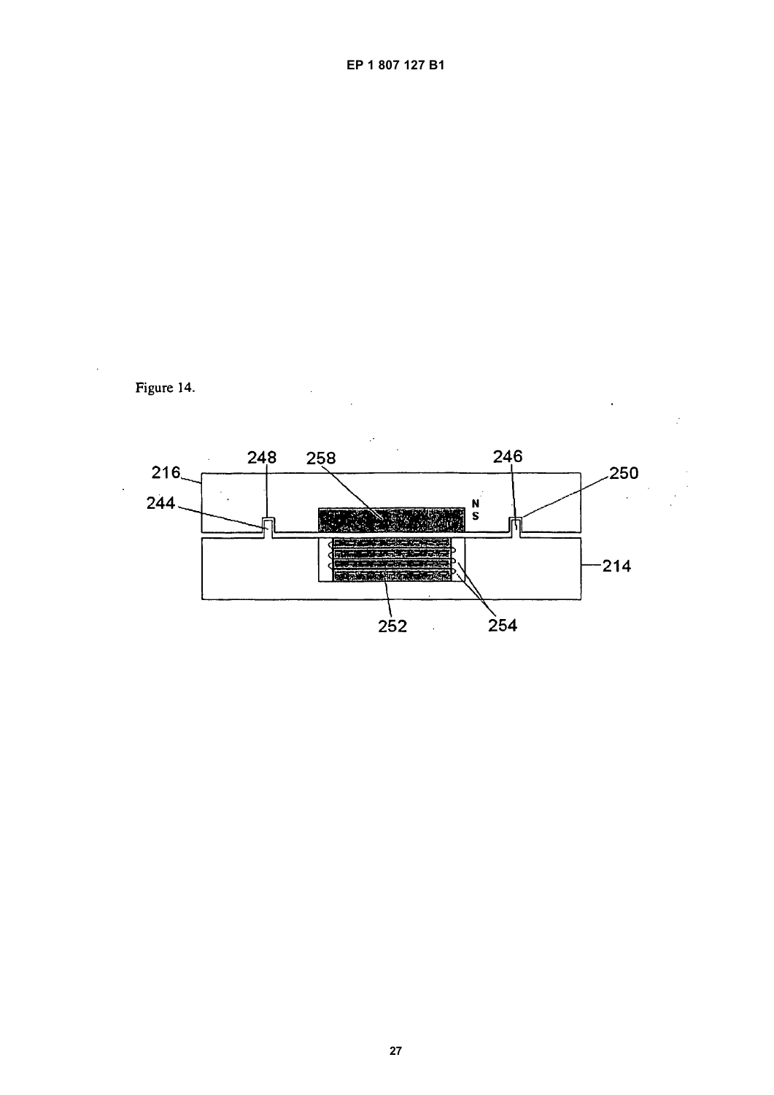

 $\ddot{\phantom{0}}$ 

 $\cdot$ 

l,

EP 1 807 127 B1

Figure 14.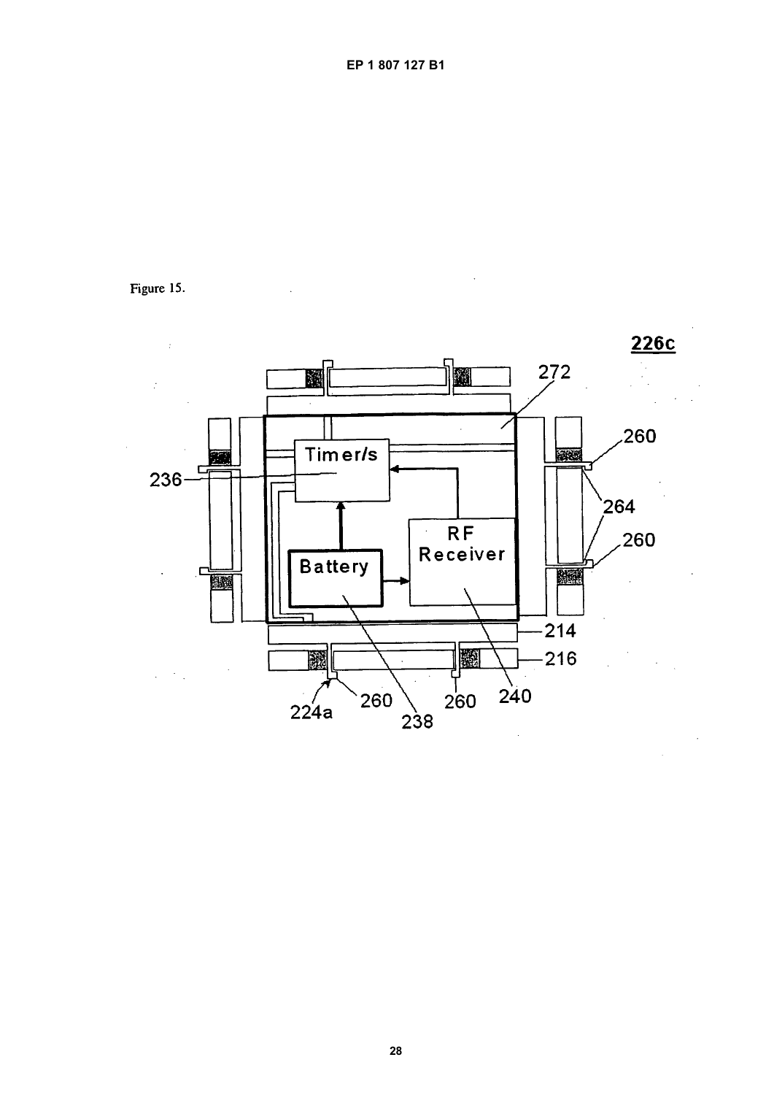

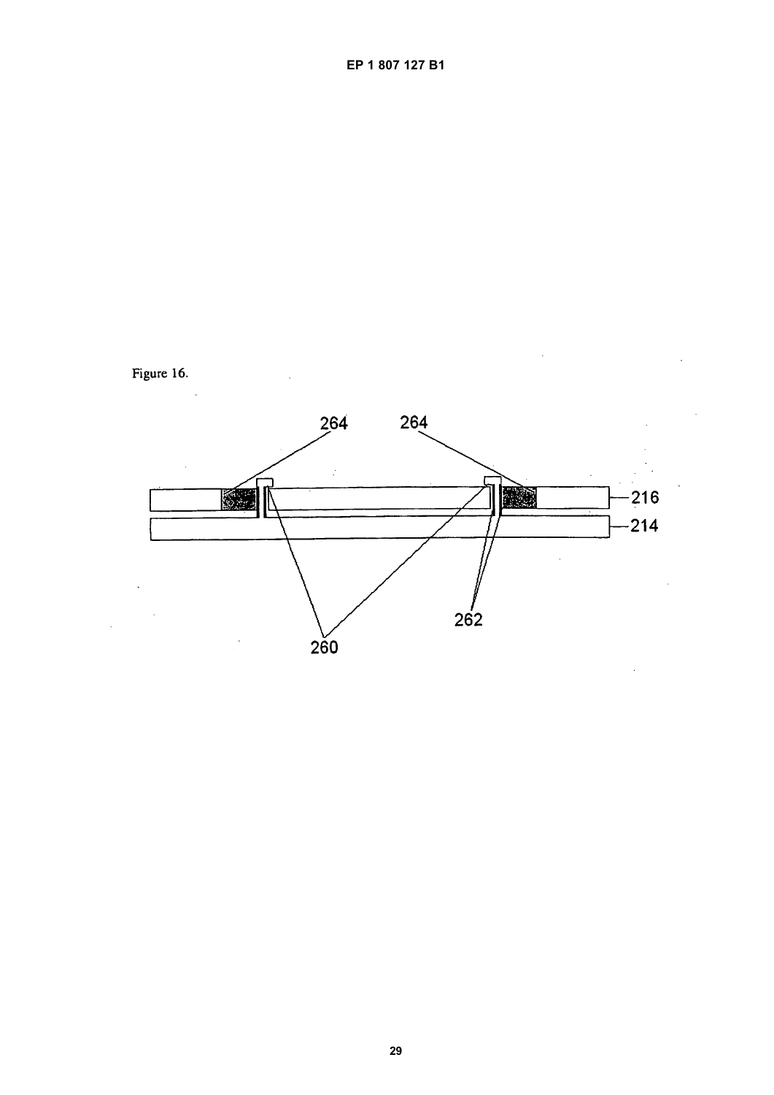

Figure 16.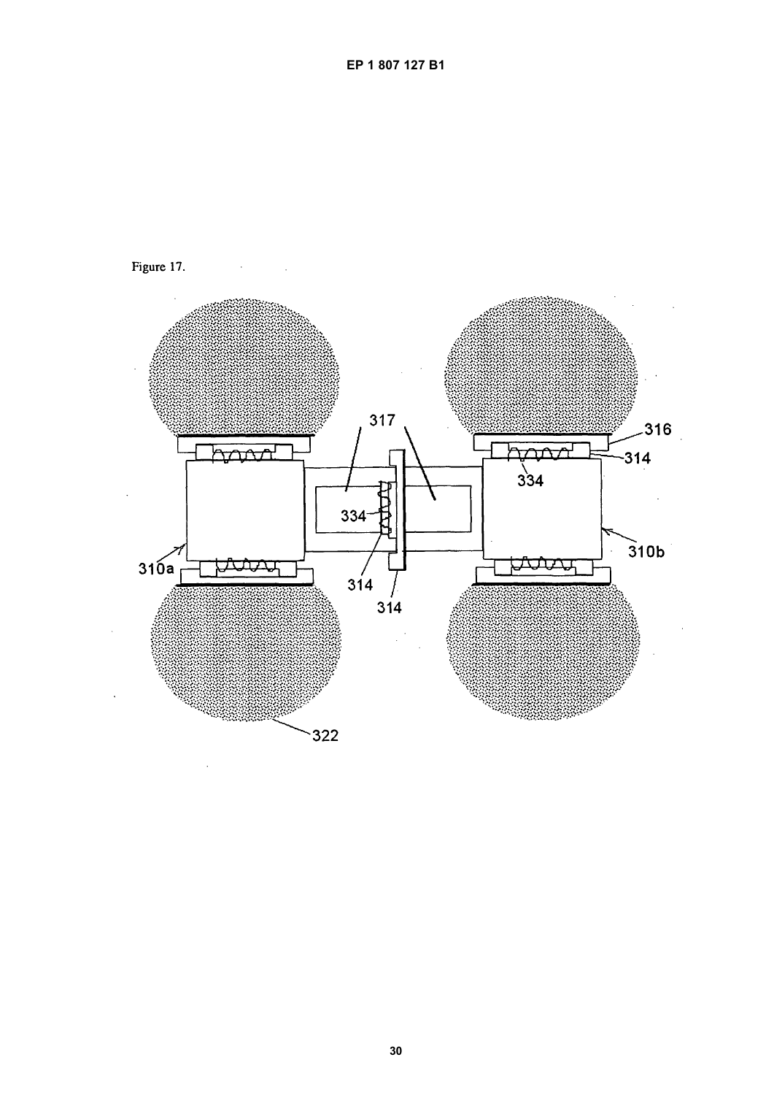

Figure 17.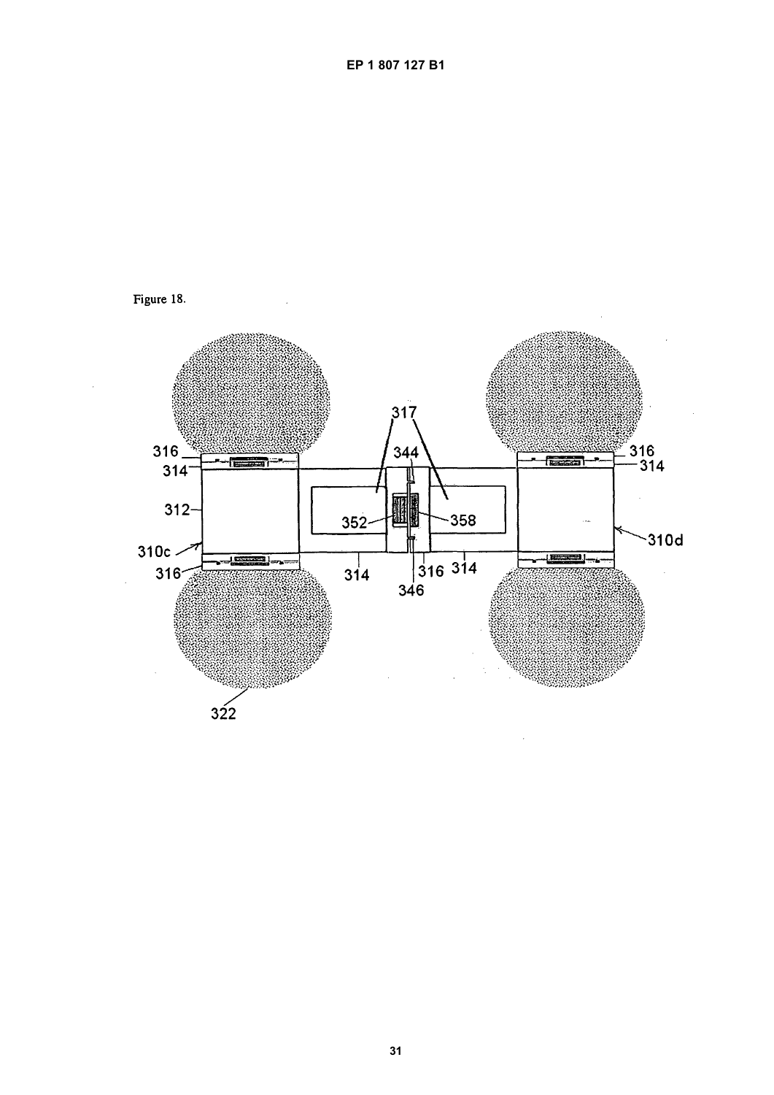

Figure 18.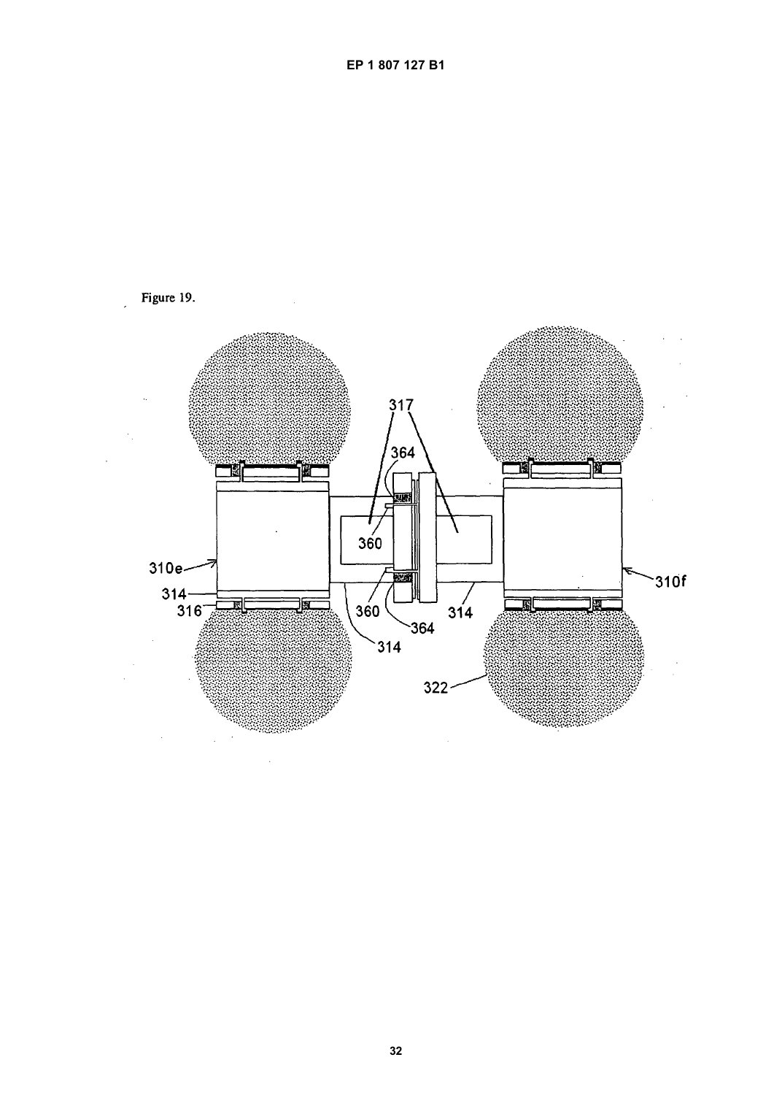

EP 1 807 127 B1